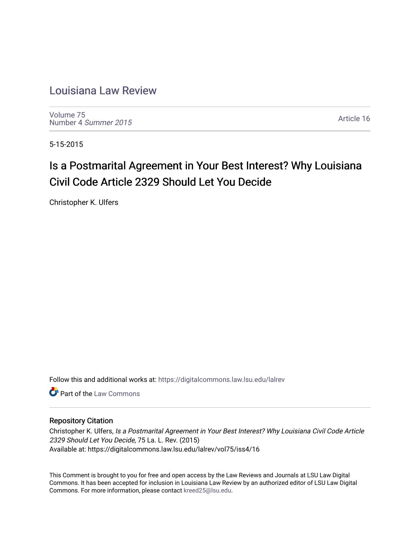# [Louisiana Law Review](https://digitalcommons.law.lsu.edu/lalrev)

[Volume 75](https://digitalcommons.law.lsu.edu/lalrev/vol75) [Number 4](https://digitalcommons.law.lsu.edu/lalrev/vol75/iss4) Summer 2015

[Article 16](https://digitalcommons.law.lsu.edu/lalrev/vol75/iss4/16) 

5-15-2015

# Is a Postmarital Agreement in Your Best Interest? Why Louisiana Civil Code Article 2329 Should Let You Decide

Christopher K. Ulfers

Follow this and additional works at: [https://digitalcommons.law.lsu.edu/lalrev](https://digitalcommons.law.lsu.edu/lalrev?utm_source=digitalcommons.law.lsu.edu%2Flalrev%2Fvol75%2Fiss4%2F16&utm_medium=PDF&utm_campaign=PDFCoverPages)

**C** Part of the [Law Commons](http://network.bepress.com/hgg/discipline/578?utm_source=digitalcommons.law.lsu.edu%2Flalrev%2Fvol75%2Fiss4%2F16&utm_medium=PDF&utm_campaign=PDFCoverPages)

# Repository Citation

Christopher K. Ulfers, Is a Postmarital Agreement in Your Best Interest? Why Louisiana Civil Code Article 2329 Should Let You Decide, 75 La. L. Rev. (2015) Available at: https://digitalcommons.law.lsu.edu/lalrev/vol75/iss4/16

This Comment is brought to you for free and open access by the Law Reviews and Journals at LSU Law Digital Commons. It has been accepted for inclusion in Louisiana Law Review by an authorized editor of LSU Law Digital Commons. For more information, please contact [kreed25@lsu.edu](mailto:kreed25@lsu.edu).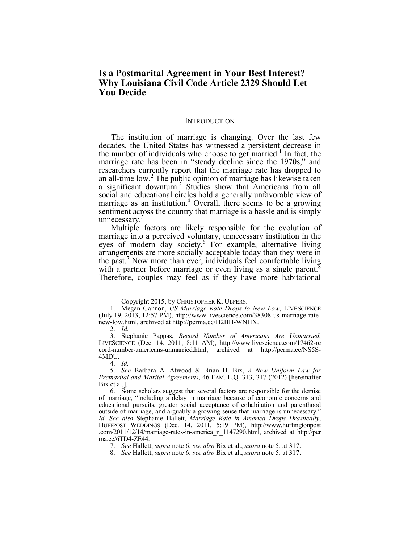# **Is a Postmarital Agreement in Your Best Interest? Why Louisiana Civil Code Article 2329 Should Let You Decide**

#### **INTRODUCTION**

 The institution of marriage is changing. Over the last few the number of individuals who choose to get married.<sup>1</sup> In fact, the researchers currently report that the marriage rate has dropped to social and educational circles hold a generally unfavorable view of marriage as an institution.<sup>4</sup> Overall, there seems to be a growing sentiment across the country that marriage is a hassle and is simply decades, the United States has witnessed a persistent decrease in marriage rate has been in "steady decline since the 1970s," and an all-time low.<sup>2</sup> The public opinion of marriage has likewise taken a significant downturn.<sup>3</sup> Studies show that Americans from all unnecessary.<sup>5</sup>

eyes of modern day society.<sup>6</sup> For example, alternative living arrangements are more socially acceptable today than they were in with a partner before marriage or even living as a single parent.<sup>8</sup> Therefore, couples may feel as if they have more habitational Multiple factors are likely responsible for the evolution of marriage into a perceived voluntary, unnecessary institution in the the past.<sup>7</sup> Now more than ever, individuals feel comfortable living

2. *Id.* 

Copyright 2015, by CHRISTOPHER K. ULFERS. 1. Megan Gannon, *US Marriage Rate Drops to New Low*, LIVESCIENCE (July 19, 2013, 12:57 PM), http://www.livescience.com/38308-us-marriage-ratenew-low.html, archived at http://perma.cc/H2BH-WNHX.

 cord-number-americans-unmarried.html, archived at http://perma.cc/NS5S-3. Stephanie Pappas, *Record Number of Americans Are Unmarried*, LIVESCIENCE (Dec. 14, 2011, 8:11 AM), http://www.livescience.com/17462-re 4MDU.

 <sup>4.</sup> *Id.*

 5. *See* Barbara A. Atwood & Brian H. Bix, *A New Uniform Law for Premarital and Marital Agreements*, 46 FAM. L.Q. 313, 317 (2012) [hereinafter Bix et al.].

 of marriage, "including a delay in marriage because of economic concerns and outside of marriage, and arguably a growing sense that marriage is unnecessary." .com/2011/12/14/marriage-rates-in-america\_n\_1147290.html, archived at http://per 6. Some scholars suggest that several factors are responsible for the demise educational pursuits, greater social acceptance of cohabitation and parenthood *Id. See also* Stephanie Hallett, *Marriage Rate in America Drops Drastically*, HUFFPOST WEDDINGS (Dec. 14, 2011, 5:19 PM), http://www.huffingtonpost ma.cc/6TD4-ZE44.

 <sup>7.</sup> *See* Hallett, *supra* note 6; *see also* Bix et al., *supra* note 5, at 317.

 <sup>8.</sup> *See* Hallett, *supra* note 6; *see also* Bix et al., *supra* note 5, at 317.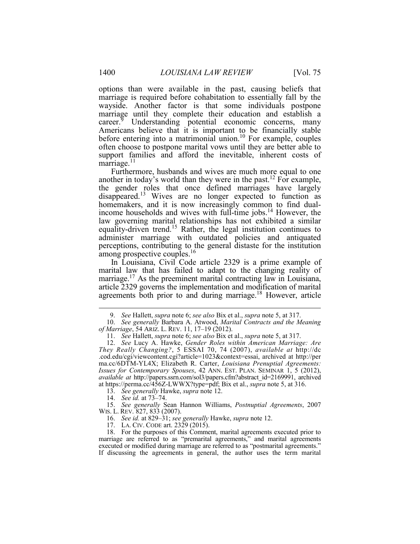marriage is required before cohabitation to essentially fall by the marriage until they complete their education and establish a  $\frac{1}{n}$ marriage.<sup>11</sup> options than were available in the past, causing beliefs that wayside. Another factor is that some individuals postpone career.<sup>9</sup> Understanding potential economic concerns, many Americans believe that it is important to be financially stable before entering into a matrimonial union.<sup>10</sup> For example, couples often choose to postpone marital vows until they are better able to support families and afford the inevitable, inherent costs of

another in today's world than they were in the past.<sup>12</sup> For example, equality-driven trend.<sup>15</sup> Rather, the legal institution continues to administer marriage with outdated policies and antiquated perceptions, contributing to the general distaste for the institution among prospective couples.<sup>16</sup> Furthermore, husbands and wives are much more equal to one the gender roles that once defined marriages have largely disappeared.<sup>13</sup> Wives are no longer expected to function as homemakers, and it is now increasingly common to find dualincome households and wives with full-time jobs.14 However, the law governing marital relationships has not exhibited a similar

 In Louisiana, Civil Code article 2329 is a prime example of marital law that has failed to adapt to the changing reality of marriage.<sup>17</sup> As the preeminent marital contracting law in Louisiana, article 2329 governs the implementation and modification of marital agreements both prior to and during marriage.<sup>18</sup> However, article

13. *See generally* Hawke, *supra* note 12.

14. *See id.* at 73–74.

 15. *See generally* Sean Hannon Williams, *Postnuptial Agreements*, 2007 WIS. L. REV. 827, 833 (2007).

16. *See id.* at 829–31; *see generally* Hawke, *supra* note 12.

17. LA. CIV. CODE art. 2329 (2015).

 If discussing the agreements in general, the author uses the term marital18. For the purposes of this Comment, marital agreements executed prior to marriage are referred to as "premarital agreements," and marital agreements executed or modified during marriage are referred to as "postmarital agreements."

 <sup>9.</sup> *See* Hallett, *supra* note 6; *see also* Bix et al., *supra* note 5, at 317.

 *of Marriage*, 54 ARIZ. L. REV. 11, 17–19 (2012). 10. *See generally* Barbara A. Atwood, *Marital Contracts and the Meaning* 

 11. *See* Hallett, *supra* note 6; *see also* Bix et al., *supra* note 5, at 317.

 *They Really Changing?*, 5 ESSAI 70, 74 (2007), *available at* http://dc .cod.edu/cgi/viewcontent.cgi?article=1023&context=essai, archived at http://per ma.cc/6DTM-YL4X; Elizabeth R. Carter, *Louisiana Prenuptial Agreements: Issues for Contemporary Spouses*, 42 ANN. EST. PLAN. SEMINAR 1, 5 (2012), at https://perma.cc/456Z-LWWX?type=pdf; Bix et al., *supra* note 5, at 316. 12. *See* Lucy A. Hawke, *Gender Roles within American Marriage: Are available at* http://papers.ssrn.com/sol3/papers.cfm?abstract\_id=2169991, archived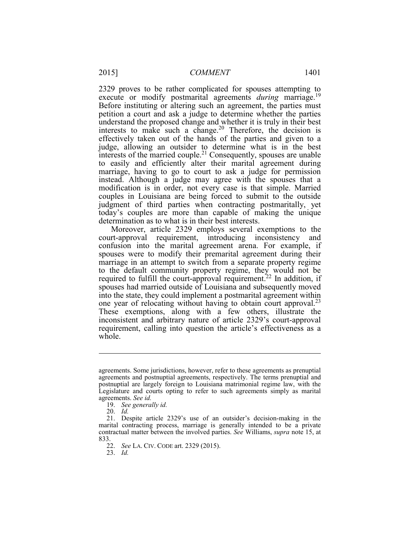2329 proves to be rather complicated for spouses attempting to execute or modify postmarital agreements *during* marriage.<sup>19</sup> Before instituting or altering such an agreement, the parties must petition a court and ask a judge to determine whether the parties understand the proposed change and whether it is truly in their best effectively taken out of the hands of the parties and given to a judge, allowing an outsider to determine what is in the best interests of the married couple.<sup>21</sup> Consequently, spouses are unable to easily and efficiently alter their marital agreement during marriage, having to go to court to ask a judge for permission instead. Although a judge may agree with the spouses that a modification is in order, not every case is that simple. Married couples in Louisiana are being forced to submit to the outside judgment of third parties when contracting postmaritally, yet interests to make such a change.<sup>20</sup> Therefore, the decision is today's couples are more than capable of making the unique determination as to what is in their best interests.

 Moreover, article 2329 employs several exemptions to the court-approval requirement, introducing inconsistency and confusion into the marital agreement arena. For example, if to the default community property regime, they would not be These exemptions, along with a few others, illustrate the spouses were to modify their premarital agreement during their marriage in an attempt to switch from a separate property regime required to fulfill the court-approval requirement.<sup>22</sup> In addition, if spouses had married outside of Louisiana and subsequently moved into the state, they could implement a postmarital agreement within one year of relocating without having to obtain court approval.<sup>23</sup> inconsistent and arbitrary nature of article 2329's court-approval requirement, calling into question the article's effectiveness as a whole.

 $\overline{a}$ 

23. *Id.* 

 agreements. Some jurisdictions, however, refer to these agreements as prenuptial agreements and postnuptial agreements, respectively. The terms prenuptial and agreements. *See id.*  postnuptial are largely foreign to Louisiana matrimonial regime law, with the Legislature and courts opting to refer to such agreements simply as marital

<sup>19.</sup> *See generally id.* 

<sup>20.</sup> *Id.* 

 21. Despite article 2329's use of an outsider's decision-making in the marital contracting process, marriage is generally intended to be a private contractual matter between the involved parties. *See* Williams, *supra* note 15, at 833.

 22. *See* LA. CIV. CODE art. 2329 (2015).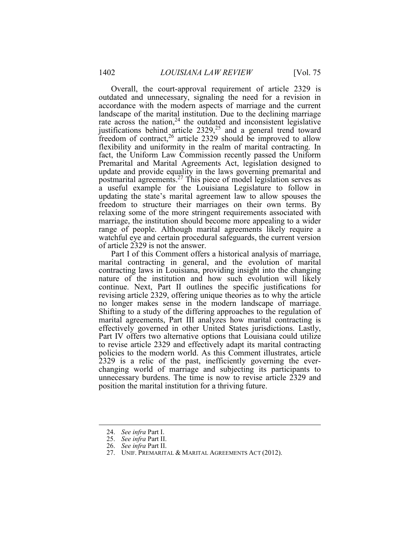outdated and unnecessary, signaling the need for a revision in accordance with the modern aspects of marriage and the current rate across the nation,  $24$  the outdated and inconsistent legislative flexibility and uniformity in the realm of marital contracting. In Premarital and Marital Agreements Act, legislation designed to freedom to structure their marriages on their own terms. By relaxing some of the more stringent requirements associated with marriage, the institution should become more appealing to a wider range of people. Although marital agreements likely require a Overall, the court-approval requirement of article 2329 is landscape of the marital institution. Due to the declining marriage justifications behind article  $2329<sub>1</sub><sup>25</sup>$  and a general trend toward freedom of contract,<sup>26</sup> article 2329 should be improved to allow fact, the Uniform Law Commission recently passed the Uniform update and provide equality in the laws governing premarital and postmarital agreements.27 This piece of model legislation serves as a useful example for the Louisiana Legislature to follow in updating the state's marital agreement law to allow spouses the watchful eye and certain procedural safeguards, the current version of article 2329 is not the answer.

Part I of this Comment offers a historical analysis of marriage, Part I of this Comment offers <sup>a</sup> historical analysis of marriage, marital contracting in general, and the evolution of marital nature of the institution and how such evolution will likely continue. Next, Part II outlines the specific justifications for Shifting to a study of the differing approaches to the regulation of to revise article 2329 and effectively adapt its marital contracting contracting laws in Louisiana, providing insight into the changing revising article 2329, offering unique theories as to why the article no longer makes sense in the modern landscape of marriage. marital agreements, Part III analyzes how marital contracting is effectively governed in other United States jurisdictions. Lastly, Part IV offers two alternative options that Louisiana could utilize policies to the modern world. As this Comment illustrates, article 2329 is a relic of the past, inefficiently governing the everchanging world of marriage and subjecting its participants to unnecessary burdens. The time is now to revise article 2329 and position the marital institution for a thriving future.

<sup>24.</sup> *See infra* Part I.

<sup>25.</sup> *See infra* Part II.

<sup>26.</sup> *See infra* Part II.

<sup>27.</sup> UNIF. PREMARITAL & MARITAL AGREEMENTS ACT (2012).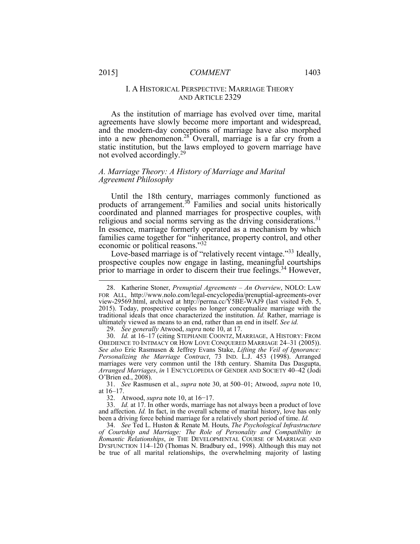## I. A HISTORICAL PERSPECTIVE: MARRIAGE THEORY AND ARTICLE 2329

 As the institution of marriage has evolved over time, marital agreements have slowly become more important and widespread, into a new phenomenon.<sup>28</sup> Overall, marriage is a far cry from a and the modern-day conceptions of marriage have also morphed static institution, but the laws employed to govern marriage have not evolved accordingly.<sup>29</sup>

#### *A. Marriage Theory: A History of Marriage and Marital Agreement Philosophy*

 In essence, marriage formerly operated as a mechanism by which Until the 18th century, marriages commonly functioned as products of arrangement. $3^{30}$  Families and social units historically coordinated and planned marriages for prospective couples, with religious and social norms serving as the driving considerations.<sup>31</sup> families came together for "inheritance, property control, and other economic or political reasons."32

prior to marriage in order to discern their true feelings.<sup>34</sup> However, Love-based marriage is of "relatively recent vintage."33 Ideally, prospective couples now engage in lasting, meaningful courtships

29. *See generally* Atwood, *supra* note 10, at 17.

31. *See* Rasmusen et al., *supra* note 30, at 500–01; Atwood, *supra* note 10, at 16–17.

32. Atwood, *supra* note 10, at 16−17.

 34. *See* Ted L. Huston & Renate M. Houts, *The Psychological Infrastructure Romantic Relationships*, *in* THE DEVELOPMENTAL COURSE OF MARRIAGE AND DYSFUNCTION 114–120 (Thomas N. Bradbury ed., 1998). Although this may not be true of all marital relationships, the overwhelming majority of lasting*of Courtship and Marriage: The Role of Personality and Compatibility in* 

 2015). Today, prospective couples no longer conceptualize marriage with the traditional ideals that once characterized the institution. *Id.* Rather, marriage is ultimately viewed as means to an end, rather than an end in itself. *See id.*  28. Katherine Stoner, *Prenuptial Agreements – An Overview*, NOLO: LAW FOR ALL, http://www.nolo.com/legal-encyclopedia/prenuptial-agreements-over view-29569.html, archived at http://perma.cc/Y5BE-WAJ9 (last visited Feb. 5,

 30. *Id.* at 16–17 (citing STEPHANIE COONTZ, MARRIAGE, A HISTORY: FROM OBEDIENCE TO INTIMACY OR HOW LOVE CONQUERED MARRIAGE 24–31 (2005)). *See also* Eric Rasmusen & Jeffrey Evans Stake, *Lifting the Veil of Ignorance: Personalizing the Marriage Contract*, 73 IND. L.J. 453 (1998). Arranged O'Brien ed., 2008). marriages were very common until the 18th century. Shamita Das Dasgupta, *Arranged Marriages*, *in* 1 ENCYCLOPEDIA OF GENDER AND SOCIETY 40–42 (Jodi

 and affection. *Id.* In fact, in the overall scheme of marital history, love has only 33. *Id.* at 17. In other words, marriage has not always been a product of love been a driving force behind marriage for a relatively short period of time. *Id.*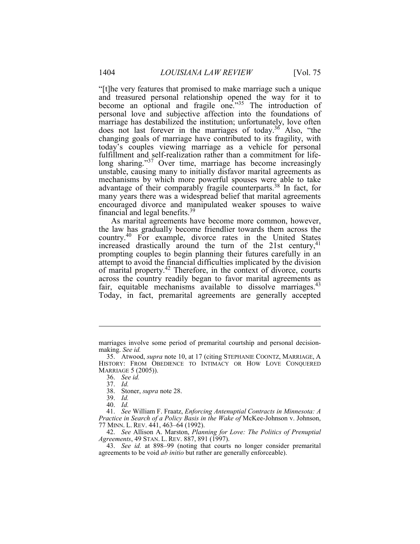"[t]he very features that promised to make marriage such a unique and treasured personal relationship opened the way for it to marriage has destabilized the institution; unfortunately, love often changing goals of marriage have contributed to its fragility, with fulfillment and self-realization rather than a commitment for lifefulfillment and self-realization rather than a commitment for life-<br>long sharing."<sup>37</sup> Over time, marriage has become increasingly unstable, causing many to initially disfavor marital agreements as advantage of their comparably fragile counterparts.<sup>38</sup> In fact, for many years there was a widespread belief that marital agreements encouraged divorce and manipulated weaker spouses to waive become an optional and fragile one.<sup>"35</sup> The introduction of personal love and subjective affection into the foundations of does not last forever in the marriages of today.<sup>36</sup> Also, "the today's couples viewing marriage as a vehicle for personal mechanisms by which more powerful spouses were able to take financial and legal benefits.39

 the law has gradually become friendlier towards them across the country.<sup>40</sup> For example, divorce rates in the United States prompting couples to begin planning their futures carefully in an across the country readily began to favor marital agreements as Today, in fact, premarital agreements are generally accepted As marital agreements have become more common, however, increased drastically around the turn of the 21st century, $41$ attempt to avoid the financial difficulties implicated by the division of marital property.<sup>42</sup> Therefore, in the context of divorce, courts fair, equitable mechanisms available to dissolve marriages. $43$ 

 marriages involve some period of premarital courtship and personal decisionmaking. *See id.* 

 35. Atwood, *supra* note 10, at 17 (citing STEPHANIE COONTZ, MARRIAGE, A HISTORY: FROM OBEDIENCE TO INTIMACY OR HOW LOVE CONQUERED MARRIAGE 5 (2005)).

<sup>36.</sup> *See id.* 

<sup>37.</sup> *Id.* 

<sup>38.</sup> Stoner, *supra* note 28.

<sup>39.</sup> *Id.* 

<sup>40.</sup> *Id.* 

 41. *See* William F. Fraatz, *Enforcing Antenuptial Contracts in Minnesota: A Practice in Search of a Policy Basis in the Wake of* McKee-Johnson v. Johnson, 77 MINN. L. REV. 441, 463–64 (1992).

 42. *See* Allison A. Marston, *Planning for Love: The Politics of Prenuptial Agreements*, 49 STAN. L. REV. 887, 891 (1997).

 43. *See id.* at 898–99 (noting that courts no longer consider premarital agreements to be void *ab initio* but rather are generally enforceable).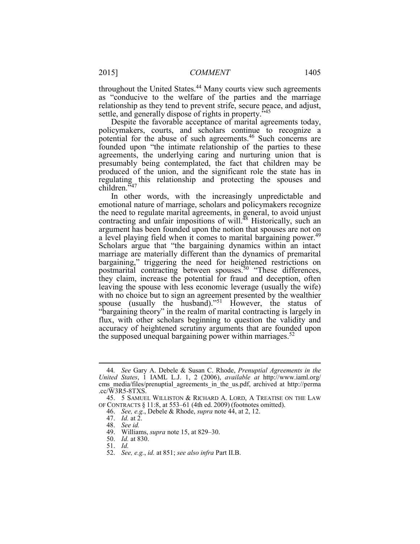throughout the United States.<sup>44</sup> Many courts view such agreements settle, and generally dispose of rights in property.<sup>545</sup> as "conducive to the welfare of the parties and the marriage relationship as they tend to prevent strife, secure peace, and adjust,

 Despite the favorable acceptance of marital agreements today, agreements, the underlying caring and nurturing union that is presumably being contemplated, the fact that children may be produced of the union, and the significant role the state has in policymakers, courts, and scholars continue to recognize a potential for the abuse of such agreements.46 Such concerns are founded upon "the intimate relationship of the parties to these regulating this relationship and protecting the spouses and children."<sup>47</sup>

 emotional nature of marriage, scholars and policymakers recognize the need to regulate marital agreements, in general, to avoid unjust contracting and unfair impositions of will.<sup>48</sup> Historically, such an Scholars argue that "the bargaining dynamics within an intact marriage are materially different than the dynamics of premarital they claim, increase the potential for fraud and deception, often leaving the spouse with less economic leverage (usually the wife) "bargaining theory" in the realm of marital contracting is largely in the supposed unequal bargaining power within marriages. $52$ In other words, with the increasingly unpredictable and argument has been founded upon the notion that spouses are not on a level playing field when it comes to marital bargaining power.<sup>49</sup> bargaining," triggering the need for heightened restrictions on postmarital contracting between spouses.<sup>50</sup> "These differences, with no choice but to sign an agreement presented by the wealthier spouse (usually the husband)."<sup>51</sup> However, the status of flux, with other scholars beginning to question the validity and accuracy of heightened scrutiny arguments that are founded upon

 *United States*, 1 IAML L.J. 1, 2 (2006), *available at* http://www.iaml.org/ 44*. See* Gary A. Debele & Susan C. Rhode, *Prenuptial Agreements in the*  cms media/files/prenuptial agreements in the us.pdf, archived at http://perma .cc/W3R5-8TXS.

 OF CONTRACTS § 11:8, at 553–61 (4th ed. 2009) (footnotes omitted). 45. 5 SAMUEL WILLISTON & RICHARD A. LORD, A TREATISE ON THE LAW

<sup>46.</sup> *See, e.g.*, Debele & Rhode, *supra* note 44, at 2, 12.

<sup>47.</sup> *Id.* at 2.

<sup>48.</sup> *See id.* 

<sup>49.</sup> Williams, *supra* note 15, at 829–30.

 50. *Id.* at 830.

<sup>51.</sup> *Id.* 

<sup>52.</sup> *See, e.g.*, *id.* at 851; *see also infra* Part II.B.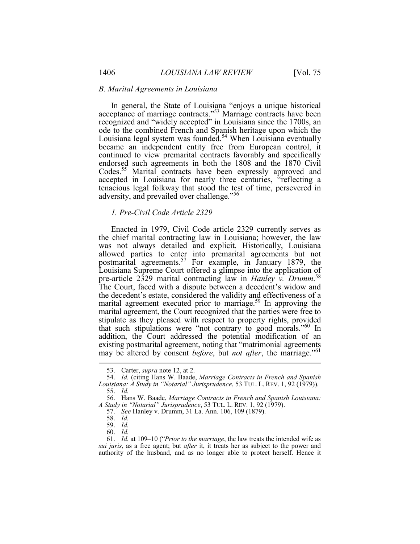#### *B. Marital Agreements in Louisiana*

 In general, the State of Louisiana "enjoys a unique historical became an independent entity free from European control, it accepted in Louisiana for nearly three centuries, "reflecting a acceptance of marriage contracts."<sup>53</sup> Marriage contracts have been recognized and "widely accepted" in Louisiana since the 1700s, an ode to the combined French and Spanish heritage upon which the Louisiana legal system was founded.<sup>54</sup> When Louisiana eventually continued to view premarital contracts favorably and specifically endorsed such agreements in both the 1808 and the 1870 Civil Codes.<sup>55</sup> Marital contracts have been expressly approved and tenacious legal folkway that stood the test of time, persevered in adversity, and prevailed over challenge."<sup>56</sup>

# *1. Pre-Civil Code Article 2329*

 Enacted in 1979, Civil Code article 2329 currently serves as the chief marital contracting law in Louisiana; however, the law Louisiana Supreme Court offered a glimpse into the application of pre-article 2329 marital contracting law in *Hanley v. Drumm*. 58 The Court, faced with a dispute between a decedent's widow and marital agreement executed prior to marriage.<sup>59</sup> In approving the marital agreement, the Court recognized that the parties were free to was not always detailed and explicit. Historically, Louisiana allowed parties to enter into premarital agreements but not postmarital agreements.<sup>57</sup> For example, in January 1879, the the decedent's estate, considered the validity and effectiveness of a stipulate as they pleased with respect to property rights, provided that such stipulations were "not contrary to good morals."60 In addition, the Court addressed the potential modification of an existing postmarital agreement, noting that "matrimonial agreements may be altered by consent *before*, but *not after*, the marriage."61

<sup>53.</sup> Carter, *supra* note 12, at 2.

 55. *Id.* 54. *Id.* (citing Hans W. Baade, *Marriage Contracts in French and Spanish Louisiana: A Study in "Notarial" Jurisprudence*, 53 TUL. L. REV. 1, 92 (1979)).

 *A Study in "Notarial" Jurisprudence*, 53 TUL. L. REV. 1, 92 (1979). 56. Hans W. Baade, *Marriage Contracts in French and Spanish Louisiana:*

<sup>57.</sup> *See* Hanley v. Drumm, 31 La. Ann. 106, 109 (1879).

<sup>58.</sup> *Id.* 

<sup>59.</sup> *Id.* 

<sup>60.</sup> *Id.* 

 *sui juris*, as a free agent; but *after* it, it treats her as subject to the power and authority of the husband, and as no longer able to protect herself. Hence it 61. *Id.* at 109–10 ("*Prior to the marriage*, the law treats the intended wife as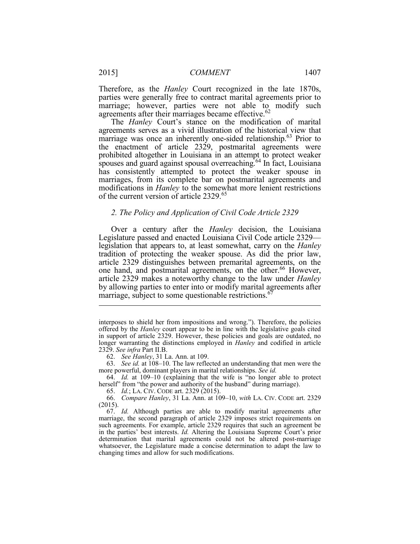parties were generally free to contract marital agreements prior to marriage; however, parties were not able to modify such Therefore, as the *Hanley* Court recognized in the late 1870s, agreements after their marriages became effective.<sup>62</sup>

 agreements serves as a vivid illustration of the historical view that spouses and guard against spousal overreaching.<sup>64</sup> In fact, Louisiana has consistently attempted to protect the weaker spouse in marriages, from its complete bar on postmarital agreements and modifications in *Hanley* to the somewhat more lenient restrictions of the current version of article 2329.<sup>65</sup> The *Hanley* Court's stance on the modification of marital marriage was once an inherently one-sided relationship.<sup>63</sup> Prior to the enactment of article 2329, postmarital agreements were prohibited altogether in Louisiana in an attempt to protect weaker

#### *2. The Policy and Application of Civil Code Article 2329*

 Over a century after the *Hanley* decision, the Louisiana legislation that appears to, at least somewhat, carry on the *Hanley* tradition of protecting the weaker spouse. As did the prior law, article 2329 distinguishes between premarital agreements, on the one hand, and postmarital agreements, on the other.<sup>66</sup> However, article 2329 makes a noteworthy change to the law under *Hanley* by allowing parties to enter into or modify marital agreements after Legislature passed and enacted Louisiana Civil Code article 2329 marriage, subject to some questionable restrictions.<sup>67</sup>

62. *See Hanley*, 31 La. Ann. at 109.

 63. *See id.* at 108–10. The law reflected an understanding that men were the more powerful, dominant players in marital relationships. *See id.* 

 64. *Id.* at 109–10 (explaining that the wife is "no longer able to protect herself" from "the power and authority of the husband" during marriage).

65. *Id.*; LA. CIV. CODE art. 2329 (2015).

 66. *Compare Hanley*, 31 La. Ann. at 109–10, *with* LA. CIV. CODE art. 2329 (2015).

 67. *Id.* Although parties are able to modify marital agreements after marriage, the second paragraph of article 2329 imposes strict requirements on in the parties' best interests. *Id.* Altering the Louisiana Supreme Court's prior determination that marital agreements could not be altered post-marriage changing times and allow for such modifications.such agreements. For example, article 2329 requires that such an agreement be whatsoever, the Legislature made a concise determination to adapt the law to

 interposes to shield her from impositions and wrong."). Therefore, the policies in support of article 2329. However, these policies and goals are outdated, no offered by the *Hanley* court appear to be in line with the legislative goals cited longer warranting the distinctions employed in *Hanley* and codified in article 2329. *See infra* Part II.B.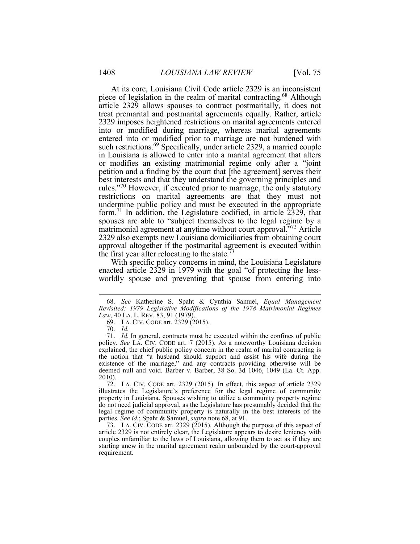piece of legislation in the realm of marital contracting.<sup>68</sup> Although 2329 imposes heightened restrictions on marital agreements entered into or modified during marriage, whereas marital agreements entered into or modified prior to marriage are not burdened with such restrictions.<sup>69</sup> Specifically, under article 2329, a married couple in Louisiana is allowed to enter into a marital agreement that alters petition and a finding by the court that [the agreement] serves their rules."<sup>70</sup> However, if executed prior to marriage, the only statutory restrictions on marital agreements are that they must not spouses are able to "subject themselves to the legal regime by a matrimonial agreement at anytime without court approval.<sup>572</sup> Article approval altogether if the postmarital agreement is executed within At its core, Louisiana Civil Code article 2329 is an inconsistent article 2329 allows spouses to contract postmaritally, it does not treat premarital and postmarital agreements equally. Rather, article or modifies an existing matrimonial regime only after a "joint best interests and that they understand the governing principles and undermine public policy and must be executed in the appropriate form.<sup>71</sup> In addition, the Legislature codified, in article 2329, that 2329 also exempts new Louisiana domiciliaries from obtaining court the first year after relocating to the state.<sup>73</sup>

With specific policy concerns in mind, the Louisiana Legislature enacted article 2329 in 1979 with the goal "of protecting the lessworldly spouse and preventing that spouse from entering into

1

 73. LA. CIV. CODE art. 2329 (2015). Although the purpose of this aspect of article 2329 is not entirely clear, the Legislature appears to desire leniency with couples unfamiliar to the laws of Louisiana, allowing them to act as if they are starting anew in the marital agreement realm unbounded by the court-approval requirement.

 *Law*, 40 LA. L. REV. 83, 91 (1979). 68. *See* Katherine S. Spaht & Cynthia Samuel, *Equal Management Revisited: 1979 Legislative Modifications of the 1978 Matrimonial Regimes*

 69. LA. CIV. CODE art. 2329 (2015).

<sup>70.</sup> *Id.* 

 71. *Id.* In general, contracts must be executed within the confines of public policy. *See* LA. CIV. CODE art. 7 (2015). As a noteworthy Louisiana decision the notion that "a husband should support and assist his wife during the existence of the marriage," and any contracts providing otherwise will be deemed null and void. Barber v. Barber, 38 So. 3d 1046, 1049 (La. Ct. App. explained, the chief public policy concern in the realm of marital contracting is 2010).

 72. LA. CIV. CODE art. 2329 (2015). In effect, this aspect of article 2329 property in Louisiana. Spouses wishing to utilize a community property regime do not need judicial approval, as the Legislature has presumably decided that the illustrates the Legislature's preference for the legal regime of community legal regime of community property is naturally in the best interests of the parties. *See id.*; Spaht & Samuel, *supra* note 68, at 91.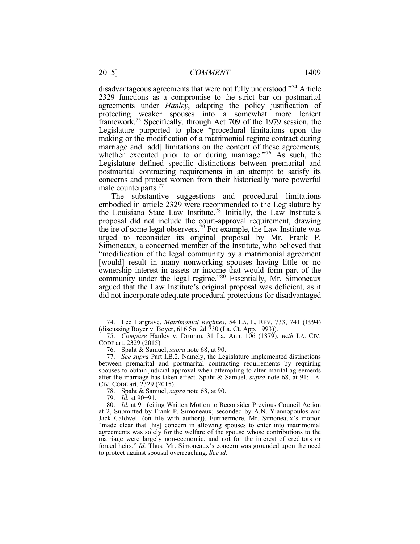disadvantageous agreements that were not fully understood."<sup>74</sup> Article agreements under *Hanley*, adapting the policy justification of protecting weaker spouses into a somewhat more lenient framework.<sup>75</sup> Specifically, through Act 709 of the 1979 session, the Legislature purported to place "procedural limitations upon the marriage and [add] limitations on the content of these agreements, Legislature defined specific distinctions between premarital and concerns and protect women from their historically more powerful 2329 functions as a compromise to the strict bar on postmarital making or the modification of a matrimonial regime contract during whether executed prior to or during marriage."<sup>76</sup> As such, the postmarital contracting requirements in an attempt to satisfy its male counterparts.<sup>77</sup>

the Louisiana State Law Institute.<sup>78</sup> Initially, the Law Institute's the ire of some legal observers.<sup>79</sup> For example, the Law Institute was Simoneaux, a concerned member of the Institute, who believed that "modification of the legal community by a matrimonial agreement [would] result in many nonworking spouses having little or no ownership interest in assets or income that would form part of the community under the legal regime."80 Essentially, Mr. Simoneaux argued that the Law Institute's original proposal was deficient, as it did not incorporate adequate procedural protections for disadvantaged The substantive suggestions and procedural limitations embodied in article 2329 were recommended to the Legislature by proposal did not include the court-approval requirement, drawing urged to reconsider its original proposal by Mr. Frank P.

<sup>74.</sup> Lee Hargrave, *Matrimonial Regimes*, 54 LA. L. REV. 733, 741 (1994) (discussing Boyer v. Boyer, 616 So. 2d 730 (La. Ct. App. 1993)).

 75. *Compare* Hanley v. Drumm, 31 La. Ann. 106 (1879), *with* LA. CIV. CODE art. 2329 (2015).

 76. Spaht & Samuel, *supra* note 68, at 90.

 77. *See supra* Part I.B.2. Namely, the Legislature implemented distinctions between premarital and postmarital contracting requirements by requiring spouses to obtain judicial approval when attempting to alter marital agreements after the marriage has taken effect. Spaht & Samuel, *supra* note 68, at 91; LA. CIV. CODE art. 2329 (2015).

 78. Spaht & Samuel, *supra* note 68, at 90.

 79. *Id.* at 90−91.

 80. *Id.* at 91 (citing Written Motion to Reconsider Previous Council Action at 2, Submitted by Frank P. Simoneaux; seconded by A.N. Yiannopoulos and Jack Caldwell (on file with author)). Furthermore, Mr. Simoneaux's motion agreements was solely for the welfare of the spouse whose contributions to the marriage were largely non-economic, and not for the interest of creditors or forced heirs." *Id.* Thus, Mr. Simoneaux's concern was grounded upon the need "made clear that [his] concern in allowing spouses to enter into matrimonial to protect against spousal overreaching. *See id.*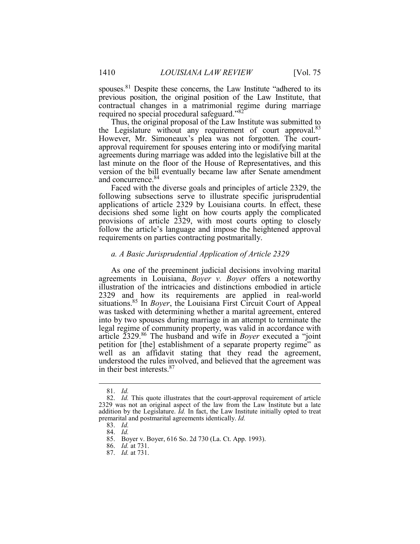spouses.<sup>81</sup> Despite these concerns, the Law Institute "adhered to its previous position, the original position of the Law Institute, that contractual changes in a matrimonial regime during marriage Ī required no special procedural safeguard."<sup>82</sup>

 Thus, the original proposal of the Law Institute was submitted to the Legislature without any requirement of court approval.<sup>83</sup> agreements during marriage was added into the legislative bill at the last minute on the floor of the House of Representatives, and this version of the bill eventually became law after Senate amendment However, Mr. Simoneaux's plea was not forgotten. The courtapproval requirement for spouses entering into or modifying marital and concurrence.<sup>84</sup>

 Faced with the diverse goals and principles of article 2329, the following subsections serve to illustrate specific jurisprudential applications of article 2329 by Louisiana courts. In effect, these decisions shed some light on how courts apply the complicated provisions of article 2329, with most courts opting to closely follow the article's language and impose the heightened approval requirements on parties contracting postmaritally.

#### *a. A Basic Jurisprudential Application of Article 2329*

 As one of the preeminent judicial decisions involving marital agreements in Louisiana, *Boyer v. Boyer* offers a noteworthy situations.85 In *Boyer*, the Louisiana First Circuit Court of Appeal was tasked with determining whether a marital agreement, entered into by two spouses during marriage in an attempt to terminate the petition for [the] establishment of a separate property regime" as illustration of the intricacies and distinctions embodied in article 2329 and how its requirements are applied in real-world legal regime of community property, was valid in accordance with article 2329.<sup>86</sup> The husband and wife in *Boyer* executed a "joint well as an affidavit stating that they read the agreement, understood the rules involved, and believed that the agreement was in their best interests.<sup>87</sup>

<sup>81.</sup> *Id.* 

 82. *Id.* This quote illustrates that the court-approval requirement of article 2329 was not an original aspect of the law from the Law Institute but a late addition by the Legislature. *Id.* In fact, the Law Institute initially opted to treat premarital and postmarital agreements identically. *Id.* 

<sup>83.</sup> *Id.* 

<sup>84.</sup> *Id.* 

<sup>85.</sup> Boyer v. Boyer, 616 So. 2d 730 (La. Ct. App. 1993).

<sup>86.</sup> *Id.* at 731.

<sup>87.</sup> *Id.* at 731.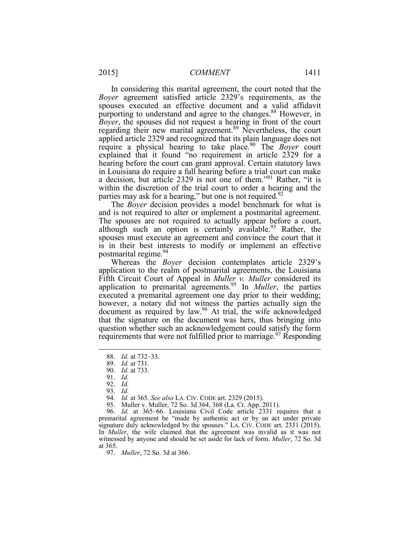*Boyer* agreement satisfied article 2329's requirements, as the purporting to understand and agree to the changes.<sup>88</sup> However, in *Boyer*, the spouses did not request a hearing in front of the court regarding their new marital agreement.<sup>89</sup> Nevertheless, the court require a physical hearing to take place.<sup>90</sup> The *Boyer* court hearing before the court can grant approval. Certain statutory laws in Louisiana do require a full hearing before a trial court can make a decision, but article 2329 is not one of them."<sup>91</sup> Rather, "it is within the discretion of the trial court to order a hearing and the parties may ask for a hearing," but one is not required.<sup>92</sup> In considering this marital agreement, the court noted that the spouses executed an effective document and a valid affidavit applied article 2329 and recognized that its plain language does not explained that it found "no requirement in article 2329 for a

 and is not required to alter or implement a postmarital agreement. The spouses are not required to actually appear before a court, is in their best interests to modify or implement an effective postmarital regime.<sup>94</sup> The *Boyer* decision provides a model benchmark for what is although such an option is certainly available.<sup>93</sup> Rather, the spouses must execute an agreement and convince the court that it

 application to the realm of postmarital agreements, the Louisiana Fifth Circuit Court of Appeal in *Muller v. Muller* considered its application to premarital agreements.95 In *Muller*, the parties executed a premarital agreement one day prior to their wedding; however, a notary did not witness the parties actually sign the document as required by law.<sup>96</sup> At trial, the wife acknowledged question whether such an acknowledgement could satisfy the form Whereas the *Boyer* decision contemplates article 2329's that the signature on the document was hers, thus bringing into requirements that were not fulfilled prior to marriage.<sup>97</sup> Responding

<sup>88.</sup> *Id.* at 732–33.

 89. *Id.* at 731.

 90. *Id.* at 733.

<sup>91.</sup> *Id.* 

<sup>92.</sup> *Id.* 

<sup>93.</sup> *Id.* 

 94. *Id.* at 365. *See also* LA. CIV. CODE art. 2329 (2015).

<sup>95.</sup> Muller v. Muller, 72 So. 3d 364, 368 (La. Ct. App. 2011).

 96. *Id.* at 365–66. Louisiana Civil Code article 2331 requires that a premarital agreement be "made by authentic act or by an act under private In *Muller*, the wife claimed that the agreement was invalid as it was not witnessed by anyone and should be set aside for lack of form. *Muller*, 72 So. 3d signature duly acknowledged by the spouses." LA. CIV. CODE art. 2331 (2015). at 365.

 97. *Muller*, 72 So. 3d at 366.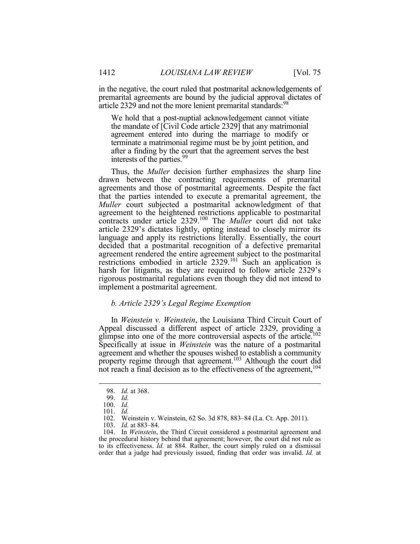in the negative, the court ruled that postmarital acknowledgements of premarital agreements are bound by the judicial approval dictates of article 2329 and not the more lenient premarital standards:<sup>98</sup>

 We hold that a post-nuptial acknowledgement cannot vitiate the mandate of [Civil Code article 2329] that any matrimonial agreement entered into during the marriage to modify or after a finding by the court that the agreement serves the best terminate a matrimonial regime must be by joint petition, and interests of the parties.<sup>99</sup>

 drawn between the contracting requirements of premarital agreements and those of postmarital agreements. Despite the fact that the parties intended to execute a premarital agreement, the *Muller* court subjected a postmarital acknowledgment of that contracts under article 2329.100 The *Muller* court did not take article 2329's dictates lightly, opting instead to closely mirror its language and apply its restrictions literally. Essentially, the court decided that a postmarital recognition of a defective premarital harsh for litigants, as they are required to follow article 2329's Thus, the *Muller* decision further emphasizes the sharp line agreement to the heightened restrictions applicable to postmarital agreement rendered the entire agreement subject to the postmarital restrictions embodied in article 2329.<sup>101</sup> Such an application is rigorous postmarital regulations even though they did not intend to implement a postmarital agreement.

# *b. Article 2329's Legal Regime Exemption*

 In *Weinstein v. Weinstein*, the Louisiana Third Circuit Court of Ī Appeal discussed a different aspect of article 2329, providing a glimpse into one of the more controversial aspects of the article.<sup>102</sup> Specifically at issue in *Weinstein* was the nature of a postmarital agreement and whether the spouses wished to establish a community property regime through that agreement.<sup>103</sup> Although the court did not reach a final decision as to the effectiveness of the agreement,<sup>104</sup>

<sup>98.</sup> *Id.* at 368.

<sup>99.</sup> *Id.* 

<sup>100.</sup> *Id.* 

<sup>101.</sup> *Id.* 

<sup>102.</sup> Weinstein v. Weinstein, 62 So. 3d 878, 883–84 (La. Ct. App. 2011).

 103. *Id.* at 883–84.

 to its effectiveness. *Id.* at 884. Rather, the court simply ruled on a dismissal 104. In *Weinstein*, the Third Circuit considered a postmarital agreement and the procedural history behind that agreement; however, the court did not rule as order that a judge had previously issued, finding that order was invalid. *Id.* at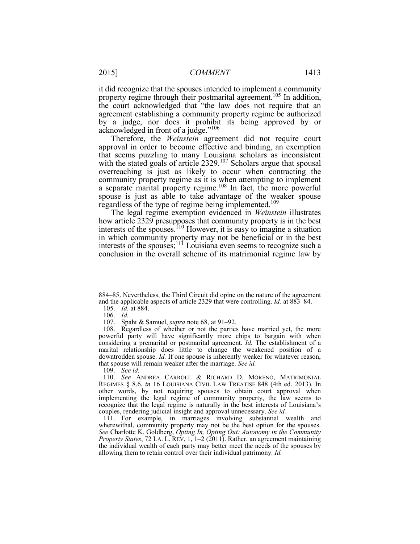property regime through their postmarital agreement.<sup>105</sup> In addition, the court acknowledged that "the law does not require that an agreement establishing a community property regime be authorized by a judge, nor does it prohibit its being approved by or acknowledged in front of a judge."<sup>106</sup> it did recognize that the spouses intended to implement a community

 that seems puzzling to many Louisiana scholars as inconsistent overreaching is just as likely to occur when contracting the community property regime as it is when attempting to implement a separate marital property regime.<sup>108</sup> In fact, the more powerful regardless of the type of regime being implemented.<sup>109</sup> Therefore, the *Weinstein* agreement did not require court approval in order to become effective and binding, an exemption with the stated goals of article 2329.<sup>107</sup> Scholars argue that spousal spouse is just as able to take advantage of the weaker spouse

 The legal regime exemption evidenced in *Weinstein* illustrates I in which community property may not be beneficial or in the best conclusion in the overall scheme of its matrimonial regime law by how article 2329 presupposes that community property is in the best interests of the spouses.<sup> $110$ </sup> However, it is easy to imagine a situation interests of the spouses; $111$  Louisiana even seems to recognize such a

1

107. Spaht & Samuel, *supra* note 68, at 91–92.

109. *See id.* 

 other words, by not requiring spouses to obtain court approval when implementing the legal regime of community property, the law seems to recognize that the legal regime is naturally in the best interests of Louisiana's 110. *See* ANDREA CARROLL & RICHARD D. MORENO, MATRIMONIAL REGIMES § 8.6, *in* 16 LOUISIANA CIVIL LAW TREATISE 848 (4th ed. 2013). In couples, rendering judicial insight and approval unnecessary. *See id.* 

 111. For example, in marriages involving substantial wealth and *Property States*, 72 LA. L. REV. 1, 1–2 (2011). Rather, an agreement maintaining the individual wealth of each party may better meet the needs of the spouses by wherewithal, community property may not be the best option for the spouses. *See* Charlotte K. Goldberg, *Opting In, Opting Out: Autonomy in the Community*  allowing them to retain control over their individual patrimony. *Id.* 

 and the applicable aspects of article 2329 that were controlling. *Id.* at 883–84. 884–85. Nevertheless, the Third Circuit did opine on the nature of the agreement

 105. *Id.* at 884.

<sup>106.</sup> *Id.* 

 powerful party will have significantly more chips to bargain with when downtrodden spouse. *Id.* If one spouse is inherently weaker for whatever reason, 108. Regardless of whether or not the parties have married yet, the more considering a premarital or postmarital agreement. *Id.* The establishment of a marital relationship does little to change the weakened position of a that spouse will remain weaker after the marriage. *See id.*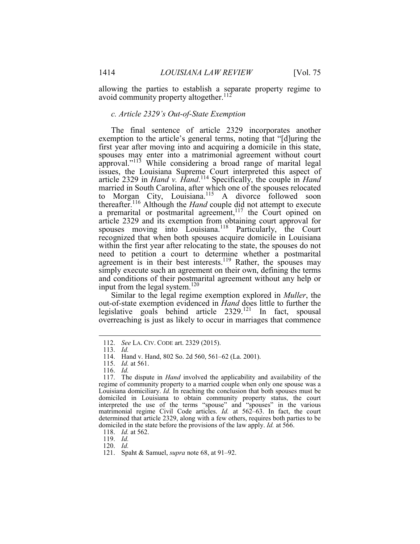allowing the parties to establish a separate property regime to Ī. avoid community property altogether.<sup>112</sup>

#### *c. Article 2329's Out-of-State Exemption*

 exemption to the article's general terms, noting that "[d]uring the first year after moving into and acquiring a domicile in this state, spouses may enter into a matrimonial agreement without court approval."<sup>113</sup> While considering a broad range of marital legal issues, the Louisiana Supreme Court interpreted this aspect of thereafter.<sup>116</sup> Although the *Hand* couple did not attempt to execute spouses moving into Louisiana.<sup>118</sup> Particularly, the Court need to petition a court to determine whether a postmarital agreement is in their best interests.<sup>119</sup> Rather, the spouses may simply execute such an agreement on their own, defining the terms and conditions of their postmarital agreement without any help or The final sentence of article 2329 incorporates another article 2329 in *Hand v. Hand*. <sup>114</sup> Specifically, the couple in *Hand*  married in South Carolina, after which one of the spouses relocated to Morgan City, Louisiana.<sup>115</sup> A divorce followed soon a premarital or postmarital agreement, $117$  the Court opined on article 2329 and its exemption from obtaining court approval for recognized that when both spouses acquire domicile in Louisiana within the first year after relocating to the state, the spouses do not input from the legal system.120

 Similar to the legal regime exemption explored in *Muller*, the out-of-state exemption evidenced in *Hand* does little to further the legislative goals behind article  $2329$ .<sup>121</sup> In fact, spousal overreaching is just as likely to occur in marriages that commence

<sup>112.</sup> *See* LA. CIV. CODE art. 2329 (2015).

<sup>113.</sup> *Id.* 

<sup>114.</sup> Hand v. Hand, 802 So. 2d 560, 561–62 (La. 2001).

<sup>115.</sup> *Id.* at 561.

<sup>116.</sup> *Id.* 

 Louisiana domiciliary. *Id.* In reaching the conclusion that both spouses must be domiciled in Louisiana to obtain community property status, the court determined that article 2329, along with a few others, requires both parties to be domiciled in the state before the provisions of the law apply. *Id.* at 566. 117. The dispute in *Hand* involved the applicability and availability of the regime of community property to a married couple when only one spouse was a interpreted the use of the terms "spouse" and "spouses" in the various matrimonial regime Civil Code articles. *Id.* at 562–63. In fact, the court

<sup>118.</sup> *Id.* at 562.

<sup>119.</sup> *Id.* 

<sup>120.</sup> *Id.* 

<sup>121.</sup> Spaht & Samuel, *supra* note 68, at 91–92.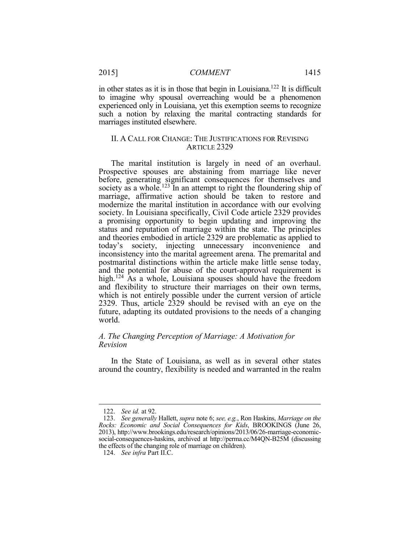in other states as it is in those that begin in Louisiana.<sup>122</sup> It is difficult to imagine why spousal overreaching would be a phenomenon experienced only in Louisiana, yet this exemption seems to recognize such a notion by relaxing the marital contracting standards for marriages instituted elsewhere.

# II. A CALL FOR CHANGE: THE JUSTIFICATIONS FOR REVISING ARTICLE 2329

 The marital institution is largely in need of an overhaul. society as a whole.<sup>123</sup> In an attempt to right the floundering ship of a promising opportunity to begin updating and improving the today's society, injecting unnecessary inconvenience and and flexibility to structure their marriages on their own terms, which is not entirely possible under the current version of article 2329. Thus, article 2329 should be revised with an eye on the future, adapting its outdated provisions to the needs of a changing Prospective spouses are abstaining from marriage like never before, generating significant consequences for themselves and marriage, affirmative action should be taken to restore and modernize the marital institution in accordance with our evolving society. In Louisiana specifically, Civil Code article 2329 provides status and reputation of marriage within the state. The principles and theories embodied in article 2329 are problematic as applied to inconsistency into the marital agreement arena. The premarital and postmarital distinctions within the article make little sense today, and the potential for abuse of the court-approval requirement is high.<sup>124</sup> As a whole, Louisiana spouses should have the freedom world.

# *A. The Changing Perception of Marriage: A Motivation for Revision*

In the State of Louisiana, as well as in several other states around the country, flexibility is needed and warranted in the realm

<sup>122.</sup> *See id.* at 92.

 123. *See generally* Hallett, *supra* note 6; *see, e.g.*, Ron Haskins, *Marriage on the Rocks: Economic and Social Consequences for Kids*, BROOKINGS (June 26, the effects of the changing role of marriage on children). 2013), http://www.brookings.edu/research/opinions/2013/06/26-marriage-economicsocial-consequences-haskins, archived at http://perma.cc/M4QN-B25M (discussing

<sup>124.</sup> *See infra* Part II.C.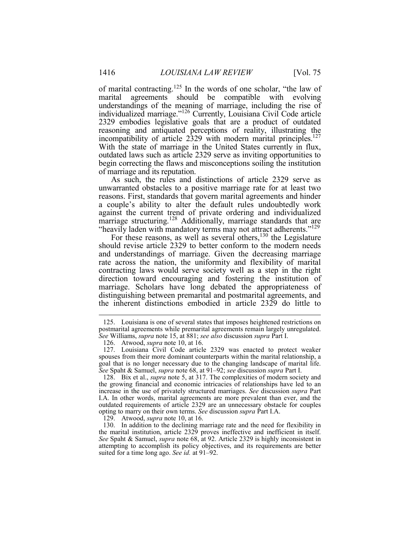Ì 2329 embodies legislative goals that are a product of outdated reasoning and antiquated perceptions of reality, illustrating the incompatibility of article 2329 with modern marital principles.<sup>127</sup> With the state of marriage in the United States currently in flux, outdated laws such as article 2329 serve as inviting opportunities to of marital contracting.<sup>125</sup> In the words of one scholar, "the law of marital agreements should be compatible with evolving understandings of the meaning of marriage, including the rise of individualized marriage."126 Currently, Louisiana Civil Code article begin correcting the flaws and misconceptions soiling the institution of marriage and its reputation.

 As such, the rules and distinctions of article 2329 serve as unwarranted obstacles to a positive marriage rate for at least two a couple's ability to alter the default rules undoubtedly work against the current trend of private ordering and individualized reasons. First, standards that govern marital agreements and hinder marriage structuring.<sup>128</sup> Additionally, marriage standards that are "heavily laden with mandatory terms may not attract adherents."<sup>129</sup>

For these reasons, as well as several others,<sup>130</sup> the Legislature and understandings of marriage. Given the decreasing marriage contracting laws would serve society well as a step in the right direction toward encouraging and fostering the institution of marriage. Scholars have long debated the appropriateness of distinguishing between premarital and postmarital agreements, and should revise article 2329 to better conform to the modern needs rate across the nation, the uniformity and flexibility of marital the inherent distinctions embodied in article 2329 do little to

129. Atwood, *supra* note 10, at 16.

 *See* Williams, *supra* note 15, at 881; *see also* discussion *supra* Part I. 125. Louisiana is one of several states that imposes heightened restrictions on postmarital agreements while premarital agreements remain largely unregulated.

<sup>126.</sup> Atwood, *supra* note 10, at 16.

 127. Louisiana Civil Code article 2329 was enacted to protect weaker spouses from their more dominant counterparts within the marital relationship, a goal that is no longer necessary due to the changing landscape of marital life. *See* Spaht & Samuel, *supra* note 68, at 91–92; *see* discussion *supra* Part I.

 I.A. In other words, marital agreements are more prevalent than ever, and the outdated requirements of article 2329 are an unnecessary obstacle for couples opting to marry on their own terms. *See* discussion *supra* Part I.A. 128. Bix et al., *supra* note 5, at 317. The complexities of modern society and the growing financial and economic intricacies of relationships have led to an increase in the use of privately structured marriages. *See* discussion *supra* Part

 the marital institution, article 2329 proves ineffective and inefficient in itself. *See* Spaht & Samuel, *supra* note 68, at 92. Article 2329 is highly inconsistent in attempting to accomplish its policy objectives, and its requirements are better 130. In addition to the declining marriage rate and the need for flexibility in suited for a time long ago. *See id.* at 91–92.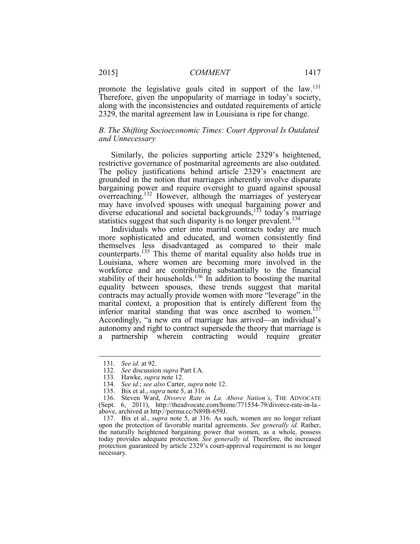Therefore, given the unpopularity of marriage in today's society, promote the legislative goals cited in support of the law.<sup>131</sup> along with the inconsistencies and outdated requirements of article 2329, the marital agreement law in Louisiana is ripe for change.

# *and Unnecessary B. The Shifting Socioeconomic Times: Court Approval Is Outdated*

 Similarly, the policies supporting article 2329's heightened, restrictive governance of postmarital agreements are also outdated. The policy justifications behind article 2329's enactment are bargaining power and require oversight to guard against spousal overreaching.<sup>132</sup> However, although the marriages of yesteryear statistics suggest that such disparity is no longer prevalent.<sup>134</sup> grounded in the notion that marriages inherently involve disparate may have involved spouses with unequal bargaining power and diverse educational and societal backgrounds,<sup>133</sup> today's marriage

 Individuals who enter into marital contracts today are much Louisiana, where women are becoming more involved in the workforce and are contributing substantially to the financial contracts may actually provide women with more "leverage" in the marital context, a proposition that is entirely different from the inferior marital standing that was once ascribed to women.<sup>137</sup> more sophisticated and educated, and women consistently find themselves less disadvantaged as compared to their male counterparts.<sup>135</sup> This theme of marital equality also holds true in stability of their households.<sup>136</sup> In addition to boosting the marital equality between spouses, these trends suggest that marital Accordingly, "a new era of marriage has arrived—an individual's autonomy and right to contract supersede the theory that marriage is a partnership wherein contracting would require greater

<sup>131.</sup> *See id.* at 92.

 132. *See* discussion *supra* Part I.A.

<sup>133.</sup> Hawke, *supra* note 12.

<sup>134.</sup> *See id.*; *see also* Carter, *supra* note 12.

<sup>135.</sup> Bix et al., *supra* note 5, at 316.

<sup>136.</sup> Steven Ward, *Divorce Rate in La. Above Nation's*, THE ADVOCATE (Sept. 6, 2011), http://theadvocate.com/home/771554-79/divorce-rate-in-la. above, archived at http://perma.cc/N89B-659J.

 the naturally heightened bargaining power that women, as a whole, possess today provides adequate protection. *See generally id.* Therefore, the increased protection guaranteed by article 2329's court-approval requirement is no longer 137. Bix et al., *supra* note 5, at 316. As such, women are no longer reliant upon the protection of favorable marital agreements. *See generally id.* Rather, necessary.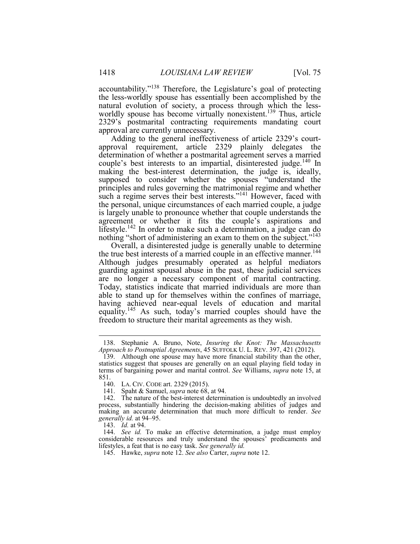natural evolution of society, a process through which the lessaccountability."<sup>138</sup> Therefore, the Legislature's goal of protecting the less-worldly spouse has essentially been accomplished by the worldly spouse has become virtually nonexistent.<sup>139</sup> Thus, article 2329's postmarital contracting requirements mandating court approval are currently unnecessary.

 determination of whether a postmarital agreement serves a married principles and rules governing the matrimonial regime and whether nothing "short of administering an exam to them on the subject."<sup>143</sup> Adding to the general ineffectiveness of article 2329's courtapproval requirement, article 2329 plainly delegates the couple's best interests to an impartial, disinterested judge.<sup>140</sup> In making the best-interest determination, the judge is, ideally, supposed to consider whether the spouses "understand the such a regime serves their best interests."<sup>141</sup> However, faced with the personal, unique circumstances of each married couple, a judge is largely unable to pronounce whether that couple understands the agreement or whether it fits the couple's aspirations and lifestyle.<sup>142</sup> In order to make such a determination, a judge can do

 Overall, a disinterested judge is generally unable to determine are no longer a necessary component of marital contracting. Today, statistics indicate that married individuals are more than able to stand up for themselves within the confines of marriage, having achieved near-equal levels of education and marital the true best interests of a married couple in an effective manner.<sup>144</sup> Although judges presumably operated as helpful mediators guarding against spousal abuse in the past, these judicial services equality.<sup>145</sup> As such, today's married couples should have the freedom to structure their marital agreements as they wish.

143. *Id.* at 94.

1

 144. *See id.* To make an effective determination, a judge must employ considerable resources and truly understand the spouses' predicaments and lifestyles, a feat that is no easy task. *See generally id.* 

 *Approach to Postnuptial Agreements*, 45 SUFFOLK U. L. REV. 397, 421 (2012). 138. Stephanie A. Bruno, Note, *Insuring the Knot: The Massachusetts* 

 139. Although one spouse may have more financial stability than the other, terms of bargaining power and marital control. *See* Williams, *supra* note 15, at statistics suggest that spouses are generally on an equal playing field today in 851.

<sup>140.</sup> LA. CIV. CODE art. 2329 (2015).

<sup>141.</sup> Spaht & Samuel, *supra* note 68, at 94.

 making an accurate determination that much more difficult to render. *See generally id.* at 94–95. 142. The nature of the best-interest determination is undoubtedly an involved process, substantially hindering the decision-making abilities of judges and

<sup>145.</sup> Hawke, *supra* note 12. *See also* Carter, *supra* note 12.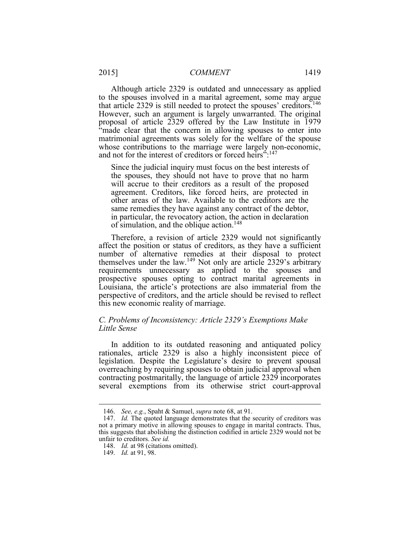Although article 2329 is outdated and unnecessary as applied that article 2329 is still needed to protect the spouses' creditors.<sup>146</sup> proposal of article 2329 offered by the Law Institute in 1979 "made clear that the concern in allowing spouses to enter into matrimonial agreements was solely for the welfare of the spouse whose contributions to the marriage were largely non-economic, to the spouses involved in a marital agreement, some may argue However, such an argument is largely unwarranted. The original and not for the interest of creditors or forced heirs":<sup>147</sup>

 other areas of the law. Available to the creditors are the same remedies they have against any contract of the debtor, Since the judicial inquiry must focus on the best interests of the spouses, they should not have to prove that no harm will accrue to their creditors as a result of the proposed agreement. Creditors, like forced heirs, are protected in in particular, the revocatory action, the action in declaration of simulation, and the oblique action.<sup>148</sup>

 Therefore, a revision of article 2329 would not significantly affect the position or status of creditors, as they have a sufficient themselves under the law.<sup>149</sup> Not only are article 2329's arbitrary Louisiana, the article's protections are also immaterial from the this new economic reality of marriage. number of alternative remedies at their disposal to protect requirements unnecessary as applied to the spouses and prospective spouses opting to contract marital agreements in perspective of creditors, and the article should be revised to reflect

# *C. Problems of Inconsistency: Article 2329's Exemptions Make Little Sense*

 rationales, article 2329 is also a highly inconsistent piece of overreaching by requiring spouses to obtain judicial approval when several exemptions from its otherwise strict court-approval In addition to its outdated reasoning and antiquated policy legislation. Despite the Legislature's desire to prevent spousal contracting postmaritally, the language of article 2329 incorporates

<sup>146.</sup> *See, e.g.*, Spaht & Samuel, *supra* note 68, at 91.

<sup>147.</sup> *Id.* The quoted language demonstrates that the security of creditors was not a primary motive in allowing spouses to engage in marital contracts. Thus, this suggests that abolishing the distinction codified in article 2329 would not be unfair to creditors. *See id.* 

<sup>148.</sup> *Id.* at 98 (citations omitted).

<sup>149.</sup> *Id.* at 91, 98.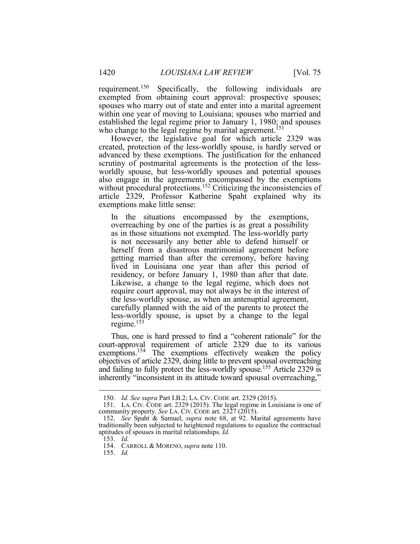within one year of moving to Louisiana; spouses who married and requirement.<sup>150</sup> Specifically, the following individuals are exempted from obtaining court approval: prospective spouses; spouses who marry out of state and enter into a marital agreement established the legal regime prior to January 1, 1980; and spouses who change to the legal regime by marital agreement.<sup>151</sup>

 created, protection of the less-worldly spouse, is hardly served or advanced by these exemptions. The justification for the enhanced scrutiny of postmarital agreements is the protection of the less- also engage in the agreements encompassed by the exemptions without procedural protections.<sup>152</sup> Criticizing the inconsistencies of article 2329, Professor Katherine Spaht explained why its However, the legislative goal for which article 2329 was worldly spouse, but less-worldly spouses and potential spouses exemptions make little sense:

 In the situations encompassed by the exemptions, overreaching by one of the parties is as great a possibility as in those situations not exempted. The less-worldly party is not necessarily any better able to defend himself or getting married than after the ceremony, before having lived in Louisiana one year than after this period of residency, or before January 1, 1980 than after that date. Likewise, a change to the legal regime, which does not the less-worldly spouse, as when an antenuptial agreement, carefully planned with the aid of the parents to protect the regime.<sup>153</sup> herself from a disastrous matrimonial agreement before require court approval, may not always be in the interest of less-worldly spouse, is upset by a change to the legal

and failing to fully protect the less-worldly spouse.<sup>155</sup> Article 2329 is Thus, one is hard pressed to find a "coherent rationale" for the court-approval requirement of article 2329 due to its various exemptions.<sup>154</sup> The exemptions effectively weaken the policy objectives of article 2329, doing little to prevent spousal overreaching inherently "inconsistent in its attitude toward spousal overreaching,"

<u>.</u>

155. *Id.* 

<sup>150.</sup> *Id. See supra* Part I.B.2; LA. CIV. CODE art. 2329 (2015).

 151. LA. CIV. CODE art. 2329 (2015). The legal regime in Louisiana is one of community property. *See* LA. CIV. CODE art. 2327 (2015).

 152. *See* Spaht & Samuel, *supra* note 68, at 92. Marital agreements have traditionally been subjected to heightened regulations to equalize the contractual aptitudes of spouses in marital relationships. *Id.* 

<sup>153.</sup> *Id.* 

 154. CARROLL & MORENO, *supra* note 110.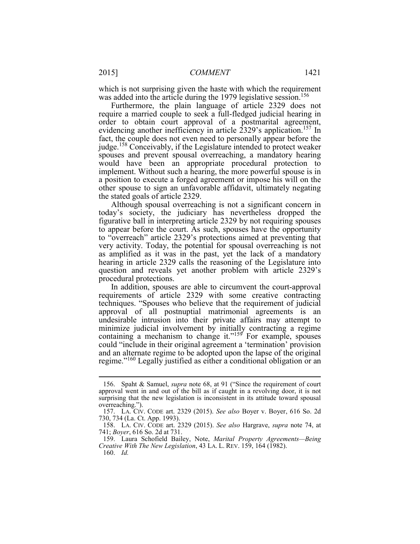was added into the article during the 1979 legislative session.<sup>156</sup> which is not surprising given the haste with which the requirement

 Furthermore, the plain language of article 2329 does not order to obtain court approval of a postmarital agreement, fact, the couple does not even need to personally appear before the would have been an appropriate procedural protection to a position to execute a forged agreement or impose his will on the require a married couple to seek a full-fledged judicial hearing in evidencing another inefficiency in article 2329's application.<sup>157</sup> In judge.158 Conceivably, if the Legislature intended to protect weaker spouses and prevent spousal overreaching, a mandatory hearing implement. Without such a hearing, the more powerful spouse is in other spouse to sign an unfavorable affidavit, ultimately negating the stated goals of article 2329.

 Although spousal overreaching is not a significant concern in today's society, the judiciary has nevertheless dropped the figurative ball in interpreting article 2329 by not requiring spouses to "overreach" article 2329's protections aimed at preventing that as amplified as it was in the past, yet the lack of a mandatory hearing in article 2329 calls the reasoning of the Legislature into to appear before the court. As such, spouses have the opportunity very activity. Today, the potential for spousal overreaching is not question and reveals yet another problem with article 2329's procedural protections.

 In addition, spouses are able to circumvent the court-approval techniques. "Spouses who believe that the requirement of judicial approval of all postnuptial matrimonial agreements is an minimize judicial involvement by initially contracting a regime regime."<sup>160</sup> Legally justified as either a conditional obligation or an requirements of article 2329 with some creative contracting undesirable intrusion into their private affairs may attempt to containing a mechanism to change it." $159$  For example, spouses could "include in their original agreement a 'termination' provision and an alternate regime to be adopted upon the lapse of the original

 approval went in and out of the bill as if caught in a revolving door, it is not surprising that the new legislation is inconsistent in its attitude toward spousal 156. Spaht & Samuel, *supra* note 68, at 91 ("Since the requirement of court overreaching.").

 157. LA. CIV. CODE art. 2329 (2015). *See also* Boyer v. Boyer, 616 So. 2d 730, 734 (La. Ct. App. 1993).

 741; *Boyer*, 616 So. 2d at 731. 158. LA. CIV. CODE art. 2329 (2015). *See also* Hargrave, *supra* note 74, at

 159. Laura Schofield Bailey, Note, *Marital Property Agreements—Being Creative With The New Legislation*, 43 LA. L. REV. 159, 164 (1982).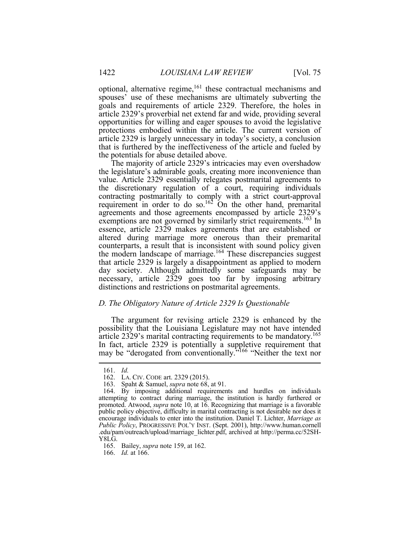spouses' use of these mechanisms are ultimately subverting the article 2329 is largely unnecessary in today's society, a conclusion that is furthered by the ineffectiveness of the article and fueled by optional, alternative regime, $161$  these contractual mechanisms and goals and requirements of article 2329. Therefore, the holes in article 2329's proverbial net extend far and wide, providing several opportunities for willing and eager spouses to avoid the legislative protections embodied within the article. The current version of the potentials for abuse detailed above.

 The majority of article 2329's intricacies may even overshadow the discretionary regulation of a court, requiring individuals contracting postmaritally to comply with a strict court-approval agreements and those agreements encompassed by article 2329's exemptions are not governed by similarly strict requirements.<sup>163</sup> In essence, article 2329 makes agreements that are established or altered during marriage more onerous than their premarital that article 2329 is largely a disappointment as applied to modern day society. Although admittedly some safeguards may be necessary, article 2329 goes too far by imposing arbitrary the legislature's admirable goals, creating more inconvenience than value. Article 2329 essentially relegates postmarital agreements to requirement in order to do so.<sup>162</sup> On the other hand, premarital counterparts, a result that is inconsistent with sound policy given the modern landscape of marriage.<sup>164</sup> These discrepancies suggest distinctions and restrictions on postmarital agreements.

# *D. The Obligatory Nature of Article 2329 Is Questionable*

 The argument for revising article 2329 is enhanced by the possibility that the Louisiana Legislature may not have intended article 2329's marital contracting requirements to be mandatory.<sup>165</sup> In fact, article 2329 is potentially a suppletive requirement that may be "derogated from conventionally."166 "Neither the text nor

<u>.</u>

165. Bailey, *supra* note 159, at 162.

166. *Id.* at 166.

<sup>161.</sup> *Id.* 

<sup>162.</sup> LA. CIV. CODE art. 2329 (2015).

<sup>163.</sup> Spaht & Samuel, *supra* note 68, at 91.

 attempting to contract during marriage, the institution is hardly furthered or promoted. Atwood, *supra* note 10, at 16. Recognizing that marriage is a favorable public policy objective, difficulty in marital contracting is not desirable nor does it 164. By imposing additional requirements and hurdles on individuals encourage individuals to enter into the institution. Daniel T. Lichter, *Marriage as Public Policy*, PROGRESSIVE POL'Y INST. (Sept. 2001), http://www.human.cornell .edu/pam/outreach/upload/marriage\_lichter.pdf, archived at http://perma.cc/52SH-Y8LG.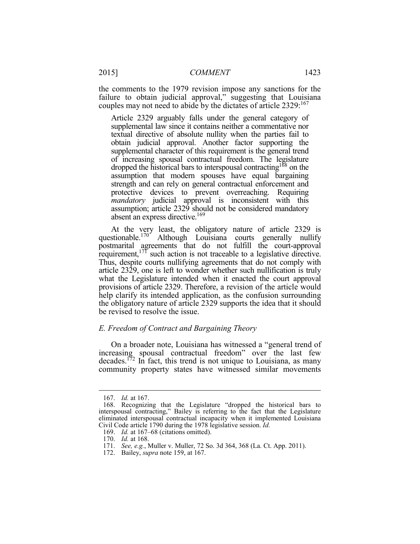failure to obtain judicial approval," suggesting that Louisiana couples may not need to abide by the dictates of article 2329:167 the comments to the 1979 revision impose any sanctions for the

 Article 2329 arguably falls under the general category of textual directive of absolute nullity when the parties fail to dropped the historical bars to interspousal contracting<sup>168</sup> on the strength and can rely on general contractual enforcement and protective devices to prevent overreaching. Requiring supplemental law since it contains neither a commentative nor obtain judicial approval. Another factor supporting the supplemental character of this requirement is the general trend of increasing spousal contractual freedom. The legislature assumption that modern spouses have equal bargaining *mandatory* judicial approval is inconsistent with this assumption; article 2329 should not be considered mandatory absent an express directive.<sup>169</sup>

 At the very least, the obligatory nature of article 2329 is questionable.<sup>170</sup> Although Louisiana courts generally nullify postmarital agreements that do not fulfill the court-approval requirement,  $177$  such action is not traceable to a legislative directive. Thus, despite courts nullifying agreements that do not comply with article 2329, one is left to wonder whether such nullification is truly what the Legislature intended when it enacted the court approval provisions of article 2329. Therefore, a revision of the article would help clarify its intended application, as the confusion surrounding the obligatory nature of article 2329 supports the idea that it should be revised to resolve the issue.

# *E. Freedom of Contract and Bargaining Theory*

 On a broader note, Louisiana has witnessed a "general trend of community property states have witnessed similar movements increasing spousal contractual freedom" over the last few decades.<sup>172</sup> In fact, this trend is not unique to Louisiana, as many

<sup>167.</sup> *Id.* at 167.

 168. Recognizing that the Legislature "dropped the historical bars to eliminated interspousal contractual incapacity when it implemented Louisiana interspousal contracting," Bailey is referring to the fact that the Legislature Civil Code article 1790 during the 1978 legislative session. *Id.* 

<sup>169.</sup> *Id.* at 167–68 (citations omitted).

 170. *Id.* at 168.

<sup>171.</sup> *See, e.g.*, Muller v. Muller, 72 So. 3d 364, 368 (La. Ct. App. 2011).

<sup>172.</sup> Bailey, *supra* note 159, at 167.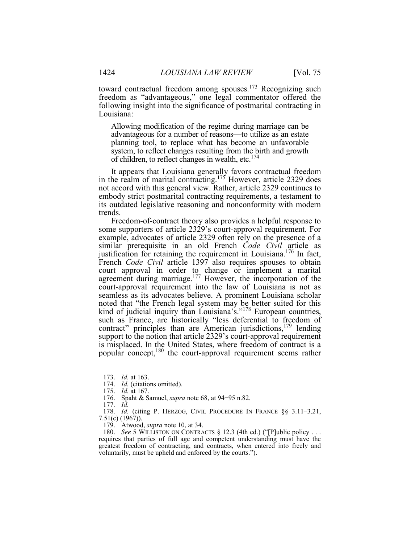toward contractual freedom among spouses.<sup>173</sup> Recognizing such following insight into the significance of postmarital contracting in freedom as "advantageous," one legal commentator offered the Louisiana:

 advantageous for a number of reasons—to utilize as an estate system, to reflect changes resulting from the birth and growth of children, to reflect changes in wealth, etc.<sup>174</sup> Allowing modification of the regime during marriage can be planning tool, to replace what has become an unfavorable

It appears that Louisiana generally favors contractual freedom in the realm of marital contracting.<sup>175</sup> However, article 2329 does not accord with this general view. Rather, article 2329 continues to embody strict postmarital contracting requirements, a testament to its outdated legislative reasoning and nonconformity with modern trends.

 similar prerequisite in an old French *Code Civil* article as justification for retaining the requirement in Louisiana.<sup>176</sup> In fact, court approval in order to change or implement a marital court-approval requirement into the law of Louisiana is not as noted that "the French legal system may be better suited for this such as France, are historically "less deferential to freedom of is misplaced. In the United States, where freedom of contract is a Freedom-of-contract theory also provides a helpful response to some supporters of article 2329's court-approval requirement. For example, advocates of article 2329 often rely on the presence of a French *Code Civil* article 1397 also requires spouses to obtain agreement during marriage.<sup>177</sup> However, the incorporation of the seamless as its advocates believe. A prominent Louisiana scholar kind of judicial inquiry than Louisiana's."<sup>178</sup> European countries, contract" principles than are American jurisdictions,<sup>179</sup> lending support to the notion that article 2329's court-approval requirement popular concept,180 the court-approval requirement seems rather

177. *Id.* 

<sup>173.</sup> *Id.* at 163.

<sup>174.</sup> *Id.* (citations omitted).

<sup>175.</sup> *Id.* at 167.

 176. Spaht & Samuel, *supra* note 68, at 94−95 n.82.

 178. *Id.* (citing P. HERZOG, CIVIL PROCEDURE IN FRANCE §§ 3.11–3.21, 7.51(c) (1967)).

 179. Atwood, *supra* note 10, at 34.

 180. *See* 5 WILLISTON ON CONTRACTS § 12.3 (4th ed.) ("[P]ublic policy . . . requires that parties of full age and competent understanding must have the greatest freedom of contracting, and contracts, when entered into freely and voluntarily, must be upheld and enforced by the courts.").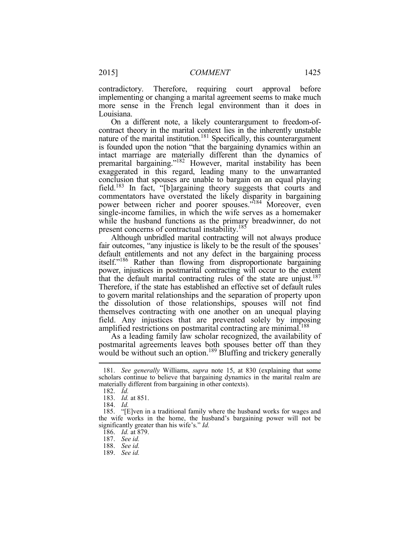implementing or changing a marital agreement seems to make much more sense in the French legal environment than it does in contradictory. Therefore, requiring court approval before Louisiana.

 On a different note, a likely counterargument to freedom-of- contract theory in the marital context lies in the inherently unstable nature of the marital institution.<sup>181</sup> Specifically, this counterargument is founded upon the notion "that the bargaining dynamics within an intact marriage are materially different than the dynamics of premarital bargaining."<sup>182</sup> However, marital instability has been exaggerated in this regard, leading many to the unwarranted single-income families, in which the wife serves as a homemaker conclusion that spouses are unable to bargain on an equal playing field.183 In fact, "[b]argaining theory suggests that courts and commentators have overstated the likely disparity in bargaining power between richer and poorer spouses."<sup>184</sup> Moreover, even while the husband functions as the primary breadwinner, do not present concerns of contractual instability.<sup>185</sup>

 fair outcomes, "any injustice is likely to be the result of the spouses' Therefore, if the state has established an effective set of default rules to govern marital relationships and the separation of property upon field. Any injustices that are prevented solely by imposing Although unbridled marital contracting will not always produce default entitlements and not any defect in the bargaining process itself."186 Rather than flowing from disproportionate bargaining power, injustices in postmarital contracting will occur to the extent that the default marital contracting rules of the state are unjust.<sup>187</sup> the dissolution of those relationships, spouses will not find themselves contracting with one another on an unequal playing amplified restrictions on postmarital contracting are minimal.<sup>188</sup>

 As a leading family law scholar recognized, the availability of would be without such an option.<sup>189</sup> Bluffing and trickery generally postmarital agreements leaves both spouses better off than they

 scholars continue to believe that bargaining dynamics in the marital realm are 181. *See generally* Williams, *supra* note 15, at 830 (explaining that some materially different from bargaining in other contexts).

<sup>182.</sup> *Id.* 

 183. *Id.* at 851.

<sup>184.</sup> *Id.* 

 185. "[E]ven in a traditional family where the husband works for wages and the wife works in the home, the husband's bargaining power will not be significantly greater than his wife's." *Id.* 

 186. *Id.* at 879.

<sup>187.</sup> *See id.* 

<sup>188.</sup> *See id.* 

<sup>189.</sup> *See id.*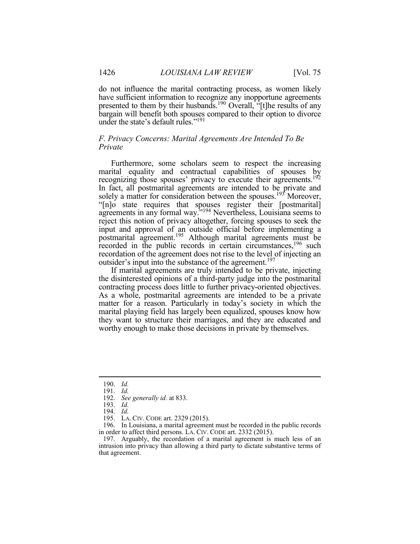do not influence the marital contracting process, as women likely have sufficient information to recognize any inopportune agreements presented to them by their husbands.<sup>190</sup> Overall, "[t]he results of any bargain will benefit both spouses compared to their option to divorce under the state's default rules."191

# *F. Privacy Concerns: Marital Agreements Are Intended To Be Private*

 Furthermore, some scholars seem to respect the increasing In fact, all postmarital agreements are intended to be private and solely a matter for consideration between the spouses.<sup>193</sup> Moreover, reject this notion of privacy altogether, forcing spouses to seek the recorded in the public records in certain circumstances,<sup>196</sup> such recordation of the agreement does not rise to the level of injecting an marital equality and contractual capabilities of spouses by recognizing those spouses' privacy to execute their agreements.<sup>192</sup> "[n]o state requires that spouses register their [postmarital] agreements in any formal way."<sup>194</sup> Nevertheless, Louisiana seems to input and approval of an outside official before implementing a postmarital agreement.<sup>195</sup> Although marital agreements must be outsider's input into the substance of the agreement.<sup>197</sup>

 If marital agreements are truly intended to be private, injecting the disinterested opinions of a third-party judge into the postmarital contracting process does little to further privacy-oriented objectives. As a whole, postmarital agreements are intended to be a private matter for a reason. Particularly in today's society in which the they want to structure their marriages, and they are educated and marital playing field has largely been equalized, spouses know how worthy enough to make those decisions in private by themselves.

<sup>190.</sup> *Id.* 

<sup>191.</sup> *Id.* 

 192. *See generally id.* at 833.

<sup>193.</sup> *Id.* 

<sup>194.</sup> *Id.* 

 195. LA. CIV. CODE art. 2329 (2015).

 in order to affect third persons. LA. CIV. CODE art. 2332 (2015). 196. In Louisiana, a marital agreement must be recorded in the public records

 197. Arguably, the recordation of a marital agreement is much less of an intrusion into privacy than allowing a third party to dictate substantive terms of that agreement.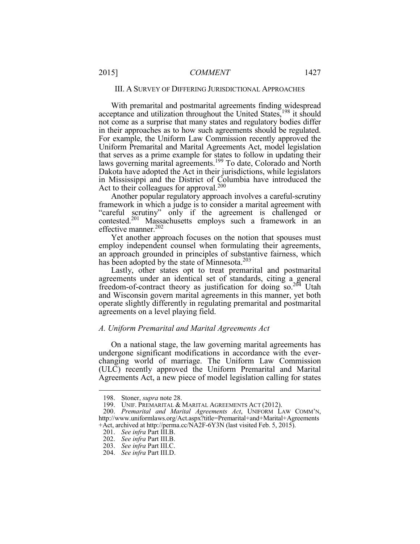With premarital and postmarital agreements finding widespread For example, the Uniform Law Commission recently approved the that serves as a prime example for states to follow in updating their in Mississippi and the District of Columbia have introduced the acceptance and utilization throughout the United States,<sup>198</sup> it should not come as a surprise that many states and regulatory bodies differ in their approaches as to how such agreements should be regulated. Uniform Premarital and Marital Agreements Act, model legislation laws governing marital agreements.<sup>199</sup> To date, Colorado and North Dakota have adopted the Act in their jurisdictions, while legislators Act to their colleagues for approval.<sup>200</sup>

 framework in which a judge is to consider a marital agreement with contested.<sup>201</sup> Massachusetts employs such a framework in an Another popular regulatory approach involves a careful-scrutiny "careful scrutiny" only if the agreement is challenged or effective manner.<sup>202</sup>

has been adopted by the state of Minnesota.<sup>203</sup> Yet another approach focuses on the notion that spouses must employ independent counsel when formulating their agreements, an approach grounded in principles of substantive fairness, which

 and Wisconsin govern marital agreements in this manner, yet both operate slightly differently in regulating premarital and postmarital agreements on a level playing field. Lastly, other states opt to treat premarital and postmarital agreements under an identical set of standards, citing a general freedom-of-contract theory as justification for doing so.204 Utah

#### *A. Uniform Premarital and Marital Agreements Act*

 On a national stage, the law governing marital agreements has (ULC) recently approved the Uniform Premarital and Marital undergone significant modifications in accordance with the ever- changing world of marriage. The Uniform Law Commission Agreements Act, a new piece of model legislation calling for states

<sup>198.</sup> Stoner, *supra* note 28.

<sup>199.</sup> UNIF. PREMARITAL & MARITAL AGREEMENTS ACT (2012).

 +Act, archived at http://perma.cc/NA2F-6Y3N (last visited Feb. 5, 2015). 200. *Premarital and Marital Agreements Act*, UNIFORM LAW COMM'N, http://www.uniformlaws.org/Act.aspx?title=Premarital+and+Marital+Agreements

<sup>201.</sup> *See infra* Part III.B.

<sup>202.</sup> *See infra* Part III.B.

<sup>203.</sup> *See infra* Part III.C.

<sup>204.</sup> *See infra* Part III.D.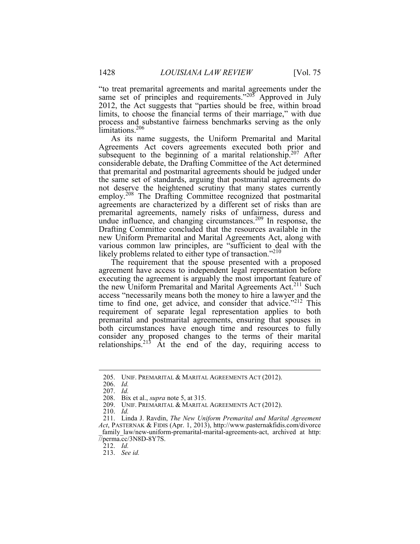"to treat premarital agreements and marital agreements under the same set of principles and requirements."205 Approved in July 2012, the Act suggests that "parties should be free, within broad limits, to choose the financial terms of their marriage," with due process and substantive fairness benchmarks serving as the only limitations.<sup>206</sup>

 Agreements Act covers agreements executed both prior and subsequent to the beginning of a marital relationship.<sup>207</sup> After the same set of standards, arguing that postmarital agreements do not deserve the heightened scrutiny that many states currently employ.<sup>208</sup> The Drafting Committee recognized that postmarital agreements are characterized by a different set of risks than are undue influence, and changing circumstances.<sup>209</sup> In response, the Drafting Committee concluded that the resources available in the various common law principles, are "sufficient to deal with the As its name suggests, the Uniform Premarital and Marital considerable debate, the Drafting Committee of the Act determined that premarital and postmarital agreements should be judged under premarital agreements, namely risks of unfairness, duress and new Uniform Premarital and Marital Agreements Act, along with likely problems related to either type of transaction."<sup>210</sup>

 The requirement that the spouse presented with a proposed executing the agreement is arguably the most important feature of the new Uniform Premarital and Marital Agreements Act.<sup>211</sup> Such access "necessarily means both the money to hire a lawyer and the time to find one, get advice, and consider that advice."<sup>212</sup> This requirement of separate legal representation applies to both both circumstances have enough time and resources to fully agreement have access to independent legal representation before premarital and postmarital agreements, ensuring that spouses in consider any proposed changes to the terms of their marital relationships.<sup>215</sup> At the end of the day, requiring access to

<sup>205.</sup> UNIF. PREMARITAL & MARITAL AGREEMENTS ACT (2012).

<sup>206.</sup> *Id.* 

<sup>207.</sup> *Id.* 

<sup>208.</sup> Bix et al., *supra* note 5, at 315.

<sup>209.</sup> UNIF. PREMARITAL & MARITAL AGREEMENTS ACT (2012).

<sup>210.</sup> *Id.* 

<sup>211.</sup> Linda J. Ravdin, *The New Uniform Premarital and Marital Agreement Act*, PASTERNAK & FIDIS (Apr. 1, 2013), http://www.pasternakfidis.com/divorce family law/new-uniform-premarital-marital-agreements-act, archived at http: //perma.cc/3N8D-8Y7S.

<sup>212.</sup> *Id.* 

<sup>213.</sup> *See id.*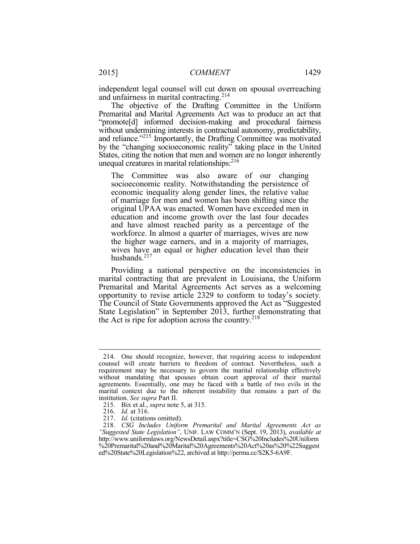independent legal counsel will cut down on spousal overreaching and unfairness in marital contracting.<sup>214</sup>

 The objective of the Drafting Committee in the Uniform Premarital and Marital Agreements Act was to produce an act that "promote[d] informed decision-making and procedural fairness without undermining interests in contractual autonomy, predictability, and reliance."<sup>215</sup> Importantly, the Drafting Committee was motivated by the "changing socioeconomic reality" taking place in the United States, citing the notion that men and women are no longer inherently unequal creatures in marital relationships: $216$ 

 The Committee was also aware of our changing economic inequality along gender lines, the relative value education and income growth over the last four decades and have almost reached parity as a percentage of the workforce. In almost a quarter of marriages, wives are now the higher wage earners, and in a majority of marriages, wives have an equal or higher education level than their socioeconomic reality. Notwithstanding the persistence of of marriage for men and women has been shifting since the original UPAA was enacted. Women have exceeded men in husbands.<sup>217</sup>

 Providing a national perspective on the inconsistencies in marital contracting that are prevalent in Louisiana, the Uniform Premarital and Marital Agreements Act serves as a welcoming opportunity to revise article 2329 to conform to today's society. the Act is ripe for adoption across the country.<sup>218</sup> The Council of State Governments approved the Act as "Suggested State Legislation" in September 2013, further demonstrating that

 requirement may be necessary to govern the marital relationship effectively without mandating that spouses obtain court approval of their marital marital context due to the inherent instability that remains a part of the 214. One should recognize, however, that requiring access to independent counsel will create barriers to freedom of contract. Nevertheless, such a agreements. Essentially, one may be faced with a battle of two evils in the institution. *See supra* Part II.

<sup>215.</sup> Bix et al., *supra* note 5, at 315.

 216. *Id.* at 316.

<sup>217.</sup> *Id.* (citations omitted).

 *"Suggested State Legislation"*, UNIF. LAW COMM'N (Sept. 19, 2013), *available at*  ed%20State%20Legislation%22, archived at http://perma.cc/S2K5-6A9F.218. *CSG Includes Uniform Premarital and Marital Agreements Act as*  http://www.uniformlaws.org/NewsDetail.aspx?title=CSG%20Includes%20Uniform %20Premarital%20and%20Marital%20Agreements%20Act%20as%20%22Suggest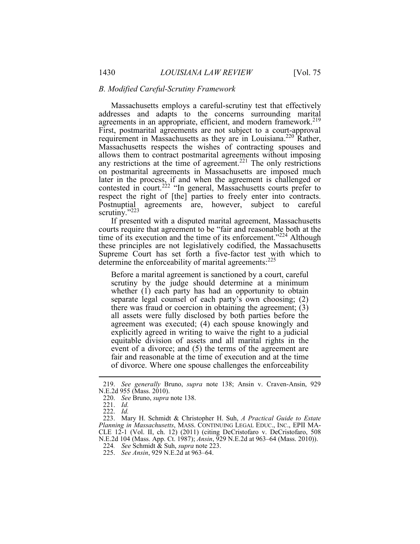#### *B. Modified Careful-Scrutiny Framework*

 Massachusetts employs a careful-scrutiny test that effectively requirement in Massachusetts as they are in Louisiana.<sup>220</sup> Rather, any restrictions at the time of agreement.<sup>221</sup> The only restrictions contested in court.<sup>222</sup> "In general, Massachusetts courts prefer to respect the right of [the] parties to freely enter into contracts. scrutiny."223 addresses and adapts to the concerns surrounding marital agreements in an appropriate, efficient, and modern framework.<sup>219</sup> First, postmarital agreements are not subject to a court-approval Massachusetts respects the wishes of contracting spouses and allows them to contract postmarital agreements without imposing on postmarital agreements in Massachusetts are imposed much later in the process, if and when the agreement is challenged or Postnuptial agreements are, however, subject to careful

 If presented with a disputed marital agreement, Massachusetts time of its execution and the time of its enforcement."<sup>224</sup> Although Supreme Court has set forth a five-factor test with which to determine the enforceability of marital agreements:<sup>225</sup> courts require that agreement to be "fair and reasonable both at the these principles are not legislatively codified, the Massachusetts

 Before a marital agreement is sanctioned by a court, careful scrutiny by the judge should determine at a minimum whether  $(1)$  each party has had an opportunity to obtain separate legal counsel of each party's own choosing; (2) all assets were fully disclosed by both parties before the event of a divorce; and (5) the terms of the agreement are there was fraud or coercion in obtaining the agreement; (3) agreement was executed; (4) each spouse knowingly and explicitly agreed in writing to waive the right to a judicial equitable division of assets and all marital rights in the fair and reasonable at the time of execution and at the time of divorce. Where one spouse challenges the enforceability

1

 223. Mary H. Schmidt & Christopher H. Suh, *A Practical Guide to Estate Planning in Massachusetts*, MASS. CONTINUING LEGAL EDUC., INC., EPII MA-CLE 12-1 (Vol. II, ch. 12) (2011) (citing DeCristofaro v. DeCristofaro, 508 N.E.2d 104 (Mass. App. Ct. 1987); *Ansin*, 929 N.E.2d at 963–64 (Mass. 2010)).

<sup>219.</sup> *See generally* Bruno, *supra* note 138; Ansin v. Craven-Ansin, 929 N.E.2d 955 (Mass. 2010).

<sup>220.</sup> *See* Bruno, *supra* note 138.

<sup>221.</sup> *Id.* 

<sup>222.</sup> *Id.* 

 224*. See* Schmidt & Suh, *supra* note 223.

<sup>225.</sup> *See Ansin*, 929 N.E.2d at 963–64.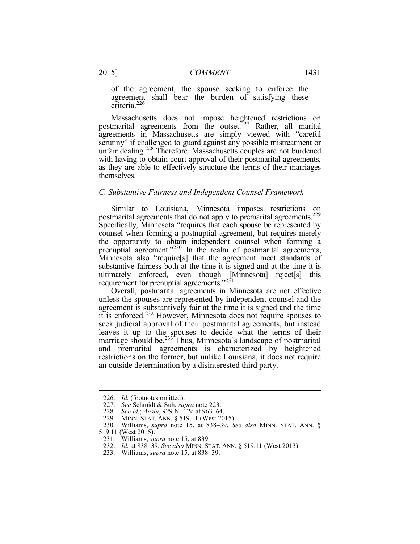of the agreement, the spouse seeking to enforce the agreement shall bear the burden of satisfying these criteria.<sup>226</sup>

postmarital agreements from the outset.<sup>227</sup> Rather, all marital agreements in Massachusetts are simply viewed with "careful scrutiny" if challenged to guard against any possible mistreatment or unfair dealing.<sup>228</sup> Therefore, Massachusetts couples are not burdened with having to obtain court approval of their postmarital agreements, as they are able to effectively structure the terms of their marriages Massachusetts does not impose heightened restrictions on themselves.

#### *C. Substantive Fairness and Independent Counsel Framework*

 Similar to Louisiana, Minnesota imposes restrictions on Specifically, Minnesota "requires that each spouse be represented by counsel when forming a postnuptial agreement, but requires merely the opportunity to obtain independent counsel when forming a Minnesota also "require[s] that the agreement meet standards of substantive fairness both at the time it is signed and at the time it is postmarital agreements that do not apply to premarital agreements.<sup>229</sup> prenuptial agreement."<sup>230</sup> In the realm of postmarital agreements, ultimately enforced, even though [Minnesota] reject[s] this requirement for prenuptial agreements."<sup>231</sup>

 Overall, postmarital agreements in Minnesota are not effective unless the spouses are represented by independent counsel and the agreement is substantively fair at the time it is signed and the time leaves it up to the spouses to decide what the terms of their it is enforced.<sup>232</sup> However, Minnesota does not require spouses to seek judicial approval of their postmarital agreements, but instead marriage should be.<sup>233</sup> Thus, Minnesota's landscape of postmarital and premarital agreements is characterized by heightened restrictions on the former, but unlike Louisiana, it does not require an outside determination by a disinterested third party.

 $\overline{a}$ 

233. Williams, *supra* note 15, at 838–39.

<sup>226.</sup> *Id.* (footnotes omitted).

<sup>227.</sup> *See* Schmidt & Suh, *supra* note 223.

<sup>228.</sup> *See id.*; *Ansin*, 929 N.E.2d at 963–64.

 229. MINN. STAT. ANN. § 519.11 (West 2015).

 230. Williams, *supra* note 15, at 838–39. *See also* MINN. STAT. ANN. § 519.11 (West 2015).

<sup>231.</sup> Williams, *supra* note 15, at 839.

<sup>232.</sup> *Id.* at 838–39. *See also* MINN. STAT. ANN. § 519.11 (West 2013).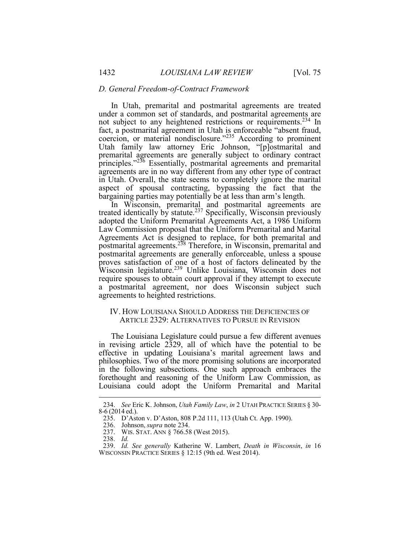#### *D. General Freedom-of-Contract Framework*

 In Utah, premarital and postmarital agreements are treated Utah family law attorney Eric Johnson, "[p]ostmarital and premarital agreements are generally subject to ordinary contract in Utah. Overall, the state seems to completely ignore the marital aspect of spousal contracting, bypassing the fact that the under a common set of standards, and postmarital agreements are not subject to any heightened restrictions or requirements.<sup>234</sup> In fact, a postmarital agreement in Utah is enforceable "absent fraud, coercion, or material nondisclosure."<sup>235</sup> According to prominent principles."<sup>236</sup> Essentially, postmarital agreements and premarital agreements are in no way different from any other type of contract bargaining parties may potentially be at less than arm's length. In Wisconsin, premarital and postmarital agreements are

 adopted the Uniform Premarital Agreements Act, a 1986 Uniform Agreements Act is designed to replace, for both premarital and postmarital agreements.<sup>238</sup> Therefore, in Wisconsin, premarital and postmarital agreements are generally enforceable, unless a spouse treated identically by statute.<sup>237</sup> Specifically, Wisconsin previously Law Commission proposal that the Uniform Premarital and Marital proves satisfaction of one of a host of factors delineated by the Wisconsin legislature.<sup>239</sup> Unlike Louisiana, Wisconsin does not require spouses to obtain court approval if they attempt to execute a postmarital agreement, nor does Wisconsin subject such agreements to heighted restrictions.

# IV. HOW LOUISIANA SHOULD ADDRESS THE DEFICIENCIES OF ARTICLE 2329: ALTERNATIVES TO PURSUE IN REVISION

 The Louisiana Legislature could pursue a few different avenues philosophies. Two of the more promising solutions are incorporated forethought and reasoning of the Uniform Law Commission, as in revising article 2329, all of which have the potential to be effective in updating Louisiana's marital agreement laws and in the following subsections. One such approach embraces the Louisiana could adopt the Uniform Premarital and Marital

 8-6 (2014 ed.). 234. *See* Eric K. Johnson, *Utah Family Law*, *in* 2 UTAH PRACTICE SERIES § 30-

<sup>235.</sup> D'Aston v. D'Aston, 808 P.2d 111, 113 (Utah Ct. App. 1990).

<sup>236.</sup> Johnson, *supra* note 234.

 237. WIS. STAT. ANN § 766.58 (West 2015).

<sup>238.</sup> *Id.* 

<sup>239.</sup> *Id. See generally* Katherine W. Lambert, *Death in Wisconsin*, *in* 16 WISCONSIN PRACTICE SERIES § 12:15 (9th ed. West 2014).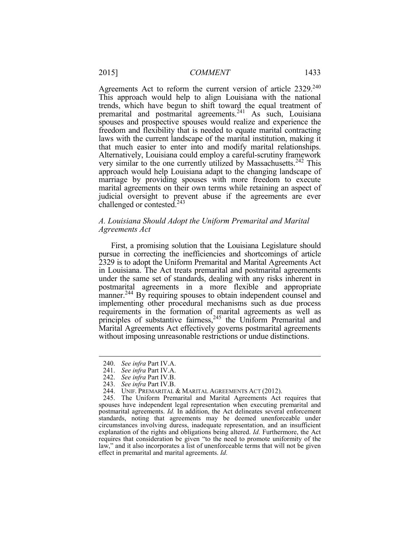trends, which have begun to shift toward the equal treatment of freedom and flexibility that is needed to equate marital contracting laws with the current landscape of the marital institution, making it that much easier to enter into and modify marital relationships. Alternatively, Louisiana could employ <sup>a</sup> careful-scrutiny framework very similar to the one currently utilized by Massachusetts.<sup>242</sup> This marriage by providing spouses with more freedom to execute marital agreements on their own terms while retaining an aspect of judicial oversight to prevent abuse if the agreements are ever Agreements Act to reform the current version of article 2329.<sup>240</sup> This approach would help to align Louisiana with the national premarital and postmarital agreements.<sup>241</sup> As such, Louisiana spouses and prospective spouses would realize and experience the approach would help Louisiana adapt to the changing landscape of challenged or contested.243

### *A. Louisiana Should Adopt the Uniform Premarital and Marital Agreements Act*

 First, a promising solution that the Louisiana Legislature should pursue in correcting the inefficiencies and shortcomings of article in Louisiana. The Act treats premarital and postmarital agreements under the same set of standards, dealing with any risks inherent in postmarital agreements in a more flexible and appropriate manner.<sup>244</sup> By requiring spouses to obtain independent counsel and requirements in the formation of marital agreements as well as 2329 is to adopt the Uniform Premarital and Marital Agreements Act implementing other procedural mechanisms such as due process principles of substantive fairness,<sup>245</sup> the Uniform Premarital and Marital Agreements Act effectively governs postmarital agreements without imposing unreasonable restrictions or undue distinctions.

<sup>240.</sup> *See infra* Part IV.A.

<sup>241.</sup> *See infra* Part IV.A.

<sup>242.</sup> *See infra* Part IV.B.

<sup>243.</sup> *See infra* Part IV.B.

<sup>244.</sup> UNIF. PREMARITAL & MARITAL AGREEMENTS ACT (2012).

 spouses have independent legal representation when executing premarital and postmarital agreements. *Id.* In addition, the Act delineates several enforcement standards, noting that agreements may be deemed unenforceable under circumstances involving duress, inadequate representation, and an insufficient requires that consideration be given "to the need to promote uniformity of the law," and it also incorporates a list of unenforceable terms that will not be given 245. The Uniform Premarital and Marital Agreements Act requires that explanation of the rights and obligations being altered. *Id.* Furthermore, the Act effect in premarital and marital agreements. *Id.*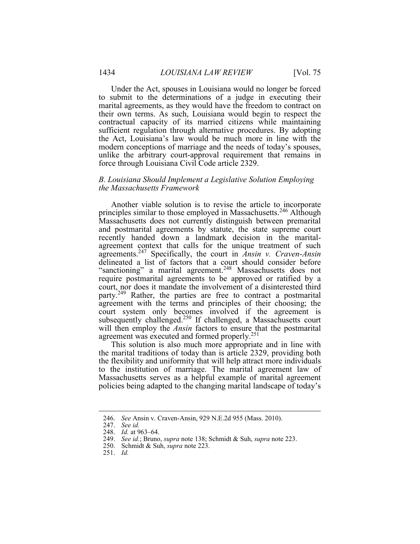Under the Act, spouses in Louisiana would no longer be forced to submit to the determinations of a judge in executing their marital agreements, as they would have the freedom to contract on unlike the arbitrary court-approval requirement that remains in their own terms. As such, Louisiana would begin to respect the contractual capacity of its married citizens while maintaining sufficient regulation through alternative procedures. By adopting the Act, Louisiana's law would be much more in line with the modern conceptions of marriage and the needs of today's spouses, force through Louisiana Civil Code article 2329.

#### *B. Louisiana Should Implement a Legislative Solution Employing the Massachusetts Framework*

principles similar to those employed in Massachusetts.<sup>246</sup> Although and postmarital agreements by statute, the state supreme court recently handed down a landmark decision in the marital- agreement context that calls for the unique treatment of such "sanctioning" a marital agreement.<sup>248</sup> Massachusetts does not require postmarital agreements to be approved or ratified by a court, nor does it mandate the involvement of a disinterested third party.<sup>249</sup> Rather, the parties are free to contract a postmarital agreement with the terms and principles of their choosing; the will then employ the *Ansin* factors to ensure that the postmarital Another viable solution is to revise the article to incorporate Massachusetts does not currently distinguish between premarital agreements.<sup>247</sup> Specifically, the court in *Ansin v. Craven-Ansin*  delineated a list of factors that a court should consider before court system only becomes involved if the agreement is subsequently challenged.<sup>250</sup> If challenged, a Massachusetts court agreement was executed and formed properly.<sup>251</sup>

 This solution is also much more appropriate and in line with Massachusetts serves as a helpful example of marital agreement the marital traditions of today than is article 2329, providing both the flexibility and uniformity that will help attract more individuals to the institution of marriage. The marital agreement law of policies being adapted to the changing marital landscape of today's

<sup>246.</sup>  *See* Ansin v. Craven-Ansin, 929 N.E.2d 955 (Mass. 2010).

 247. *See id.* 

 248. *Id.* at 963–64.

 249. *See id.*; Bruno, *supra* note 138; Schmidt & Suh, *supra* note 223.

<sup>250.</sup>  Schmidt & Suh, *supra* note 223.

<sup>251.</sup>  *Id.*